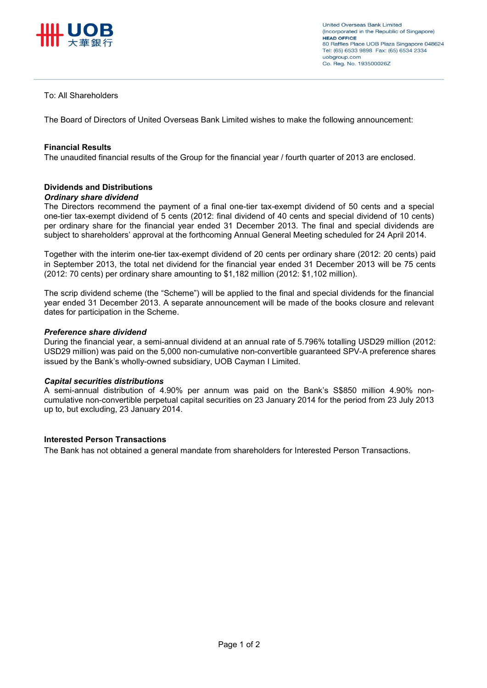

## To: All Shareholders

The Board of Directors of United Overseas Bank Limited wishes to make the following announcement:

#### **Financial Results**

The unaudited financial results of the Group for the financial year / fourth quarter of 2013 are enclosed.

## **Dividends and Distributions**

#### *Ordinary share dividend*

The Directors recommend the payment of a final one-tier tax-exempt dividend of 50 cents and a special one-tier tax-exempt dividend of 5 cents (2012: final dividend of 40 cents and special dividend of 10 cents) per ordinary share for the financial year ended 31 December 2013. The final and special dividends are subject to shareholders' approval at the forthcoming Annual General Meeting scheduled for 24 April 2014.

Together with the interim one-tier tax-exempt dividend of 20 cents per ordinary share (2012: 20 cents) paid in September 2013, the total net dividend for the financial year ended 31 December 2013 will be 75 cents (2012: 70 cents) per ordinary share amounting to \$1,182 million (2012: \$1,102 million).

The scrip dividend scheme (the "Scheme") will be applied to the final and special dividends for the financial year ended 31 December 2013. A separate announcement will be made of the books closure and relevant dates for participation in the Scheme.

#### *Preference share dividend*

During the financial year, a semi-annual dividend at an annual rate of 5.796% totalling USD29 million (2012: USD29 million) was paid on the 5,000 non-cumulative non-convertible guaranteed SPV-A preference shares issued by the Bank's wholly-owned subsidiary, UOB Cayman I Limited.

#### *Capital securities distributions*

A semi-annual distribution of 4.90% per annum was paid on the Bank's S\$850 million 4.90% noncumulative non-convertible perpetual capital securities on 23 January 2014 for the period from 23 July 2013 up to, but excluding, 23 January 2014.

## **Interested Person Transactions**

The Bank has not obtained a general mandate from shareholders for Interested Person Transactions.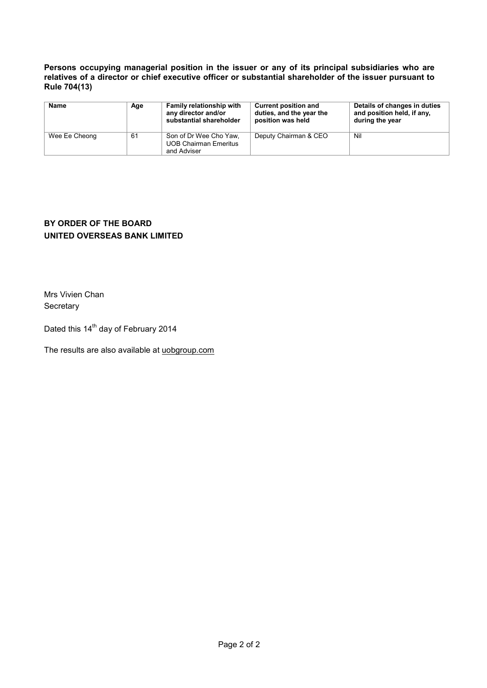**Persons occupying managerial position in the issuer or any of its principal subsidiaries who are relatives of a director or chief executive officer or substantial shareholder of the issuer pursuant to Rule 704(13)** 

| <b>Name</b>   | Age | Family relationship with<br>any director and/or<br>substantial shareholder | <b>Current position and</b><br>duties, and the year the<br>position was held | Details of changes in duties<br>and position held, if any,<br>during the year |
|---------------|-----|----------------------------------------------------------------------------|------------------------------------------------------------------------------|-------------------------------------------------------------------------------|
| Wee Ee Cheong | 61  | Son of Dr Wee Cho Yaw,<br><b>UOB Chairman Emeritus</b><br>and Adviser      | Deputy Chairman & CEO                                                        | Nil                                                                           |

# **BY ORDER OF THE BOARD UNITED OVERSEAS BANK LIMITED**

Mrs Vivien Chan **Secretary** 

Dated this 14<sup>th</sup> day of February 2014

The results are also available at uobgroup.com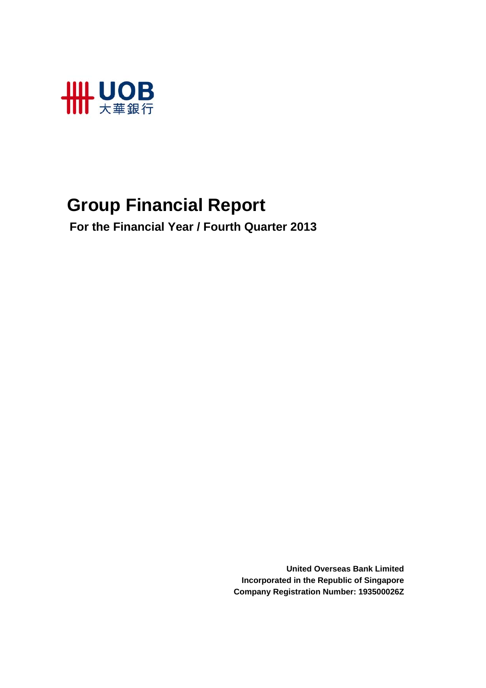

# **Group Financial Report**

 **For the Financial Year / Fourth Quarter 2013**

**United Overseas Bank Limited Incorporated in the Republic of Singapore Company Registration Number: 193500026Z**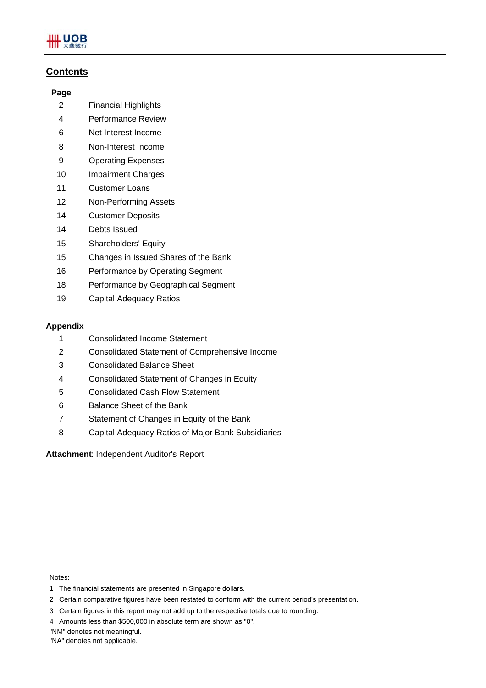

## **Contents**

#### **Page**

- 2 Financial Highlights
- 4 Performance Review
- 6 Net Interest Income
- 8 Non-Interest Income
- 9 Operating Expenses
- 10 Impairment Charges
- 11 Customer Loans
- 12 Non-Performing Assets
- 14 Customer Deposits
- 14 Debts Issued
- 15 Shareholders' Equity
- 15 Changes in Issued Shares of the Bank
- 16 Performance by Operating Segment
- 18 Performance by Geographical Segment
- 19 Capital Adequacy Ratios

## **Appendix**

- 1 Consolidated Income Statement
- 2 Consolidated Statement of Comprehensive Income
- 3 Consolidated Balance Sheet
- 4 Consolidated Statement of Changes in Equity
- 5 Consolidated Cash Flow Statement
- 6 Balance Sheet of the Bank
- 7 Statement of Changes in Equity of the Bank
- 8 Capital Adequacy Ratios of Major Bank Subsidiaries

**Attachment**: Independent Auditor's Report

#### Notes:

- 1 The financial statements are presented in Singapore dollars.
- 2 Certain comparative figures have been restated to conform with the current period's presentation.
- 3 Certain figures in this report may not add up to the respective totals due to rounding.
- 4 Amounts less than \$500,000 in absolute term are shown as "0".
- "NM" denotes not meaningful.
- "NA" denotes not applicable.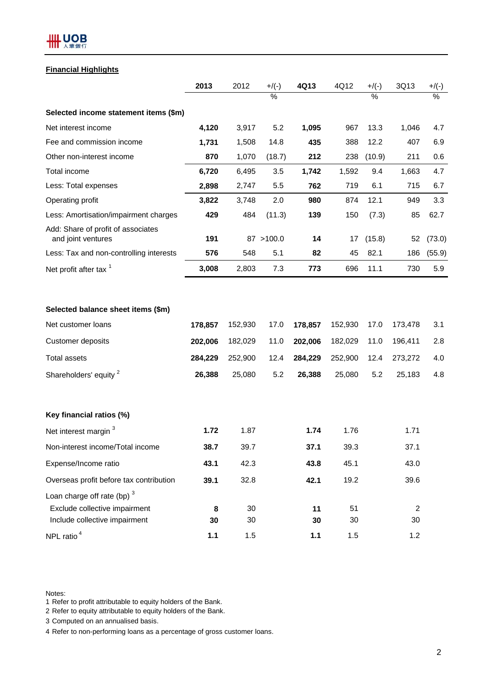

## **Financial Highlights**

|                                                                                               | 2013    | 2012     | $+/(-)$       | 4Q13     | 4Q12     | $+$ /(-) | 3Q13                 | $+/(-)$       |
|-----------------------------------------------------------------------------------------------|---------|----------|---------------|----------|----------|----------|----------------------|---------------|
|                                                                                               |         |          | $\frac{0}{2}$ |          |          | $\%$     |                      | $\frac{0}{2}$ |
| Selected income statement items (\$m)                                                         |         |          |               |          |          |          |                      |               |
| Net interest income                                                                           | 4,120   | 3,917    | 5.2           | 1,095    | 967      | 13.3     | 1,046                | 4.7           |
| Fee and commission income                                                                     | 1,731   | 1,508    | 14.8          | 435      | 388      | 12.2     | 407                  | 6.9           |
| Other non-interest income                                                                     | 870     | 1,070    | (18.7)        | 212      | 238      | (10.9)   | 211                  | 0.6           |
| Total income                                                                                  | 6,720   | 6,495    | 3.5           | 1,742    | 1,592    | 9.4      | 1,663                | 4.7           |
| Less: Total expenses                                                                          | 2,898   | 2,747    | 5.5           | 762      | 719      | 6.1      | 715                  | 6.7           |
| Operating profit                                                                              | 3,822   | 3,748    | 2.0           | 980      | 874      | 12.1     | 949                  | 3.3           |
| Less: Amortisation/impairment charges                                                         | 429     | 484      | (11.3)        | 139      | 150      | (7.3)    | 85                   | 62.7          |
| Add: Share of profit of associates<br>and joint ventures                                      | 191     |          | 87 > 100.0    | 14       | 17       | (15.8)   | 52                   | (73.0)        |
| Less: Tax and non-controlling interests                                                       | 576     | 548      | 5.1           | 82       | 45       | 82.1     | 186                  | (55.9)        |
| Net profit after tax <sup>1</sup>                                                             | 3,008   | 2,803    | 7.3           | 773      | 696      | 11.1     | 730                  | 5.9           |
| Selected balance sheet items (\$m)                                                            |         |          |               |          |          |          |                      |               |
| Net customer loans                                                                            | 178,857 | 152,930  | 17.0          | 178,857  | 152,930  | 17.0     | 173,478              | 3.1           |
| Customer deposits                                                                             | 202,006 | 182,029  | 11.0          | 202,006  | 182,029  | 11.0     | 196,411              | 2.8           |
| <b>Total assets</b>                                                                           | 284,229 | 252,900  | 12.4          | 284,229  | 252,900  | 12.4     | 273,272              | 4.0           |
| Shareholders' equity <sup>2</sup>                                                             | 26,388  | 25,080   | 5.2           | 26,388   | 25,080   | 5.2      | 25,183               | 4.8           |
| Key financial ratios (%)                                                                      |         |          |               |          |          |          |                      |               |
| Net interest margin <sup>3</sup>                                                              | 1.72    | 1.87     |               | 1.74     | 1.76     |          | 1.71                 |               |
| Non-interest income/Total income                                                              | 38.7    | 39.7     |               | 37.1     | 39.3     |          | 37.1                 |               |
| Expense/Income ratio                                                                          | 43.1    | 42.3     |               | 43.8     | 45.1     |          | 43.0                 |               |
| Overseas profit before tax contribution                                                       | 39.1    | 32.8     |               | 42.1     | 19.2     |          | 39.6                 |               |
| Loan charge off rate (bp) 3<br>Exclude collective impairment<br>Include collective impairment | 8<br>30 | 30<br>30 |               | 11<br>30 | 51<br>30 |          | $\overline{c}$<br>30 |               |
| NPL ratio <sup>4</sup>                                                                        | 1.1     | 1.5      |               | 1.1      | 1.5      |          | 1.2                  |               |

Notes:

1 Refer to profit attributable to equity holders of the Bank.

2 Refer to equity attributable to equity holders of the Bank.

3 Computed on an annualised basis.

4 Refer to non-performing loans as a percentage of gross customer loans.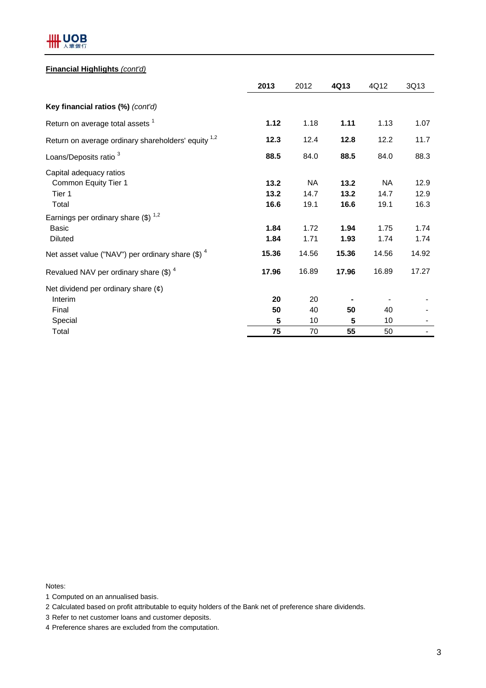

## **Financial Highlights** *(cont'd)*

|                                                                                     | 2013                 | 2012                      | 4Q13                 | 4Q12                      | 3Q13                 |
|-------------------------------------------------------------------------------------|----------------------|---------------------------|----------------------|---------------------------|----------------------|
| Key financial ratios (%) (cont'd)                                                   |                      |                           |                      |                           |                      |
| Return on average total assets <sup>1</sup>                                         | 1.12                 | 1.18                      | 1.11                 | 1.13                      | 1.07                 |
| Return on average ordinary shareholders' equity 1,2                                 | 12.3                 | 12.4                      | 12.8                 | 12.2                      | 11.7                 |
| Loans/Deposits ratio <sup>3</sup>                                                   | 88.5                 | 84.0                      | 88.5                 | 84.0                      | 88.3                 |
| Capital adequacy ratios<br>Common Equity Tier 1<br>Tier 1<br>Total                  | 13.2<br>13.2<br>16.6 | <b>NA</b><br>14.7<br>19.1 | 13.2<br>13.2<br>16.6 | <b>NA</b><br>14.7<br>19.1 | 12.9<br>12.9<br>16.3 |
| Earnings per ordinary share $(\$)$ <sup>1,2</sup><br><b>Basic</b><br><b>Diluted</b> | 1.84<br>1.84         | 1.72<br>1.71              | 1.94<br>1.93         | 1.75<br>1.74              | 1.74<br>1.74         |
| Net asset value ("NAV") per ordinary share $(\$)$ <sup>4</sup>                      | 15.36                | 14.56                     | 15.36                | 14.56                     | 14.92                |
| Revalued NAV per ordinary share (\$) <sup>4</sup>                                   | 17.96                | 16.89                     | 17.96                | 16.89                     | 17.27                |
| Net dividend per ordinary share $(\phi)$<br>Interim<br>Final<br>Special             | 20<br>50<br>5        | 20<br>40<br>10            | 50<br>5              | 40<br>10                  |                      |
| Total                                                                               | 75                   | 70                        | 55                   | 50                        |                      |

Notes:

- 1 Computed on an annualised basis.
- 2 Calculated based on profit attributable to equity holders of the Bank net of preference share dividends.
- 3 Refer to net customer loans and customer deposits.
- 4 Preference shares are excluded from the computation.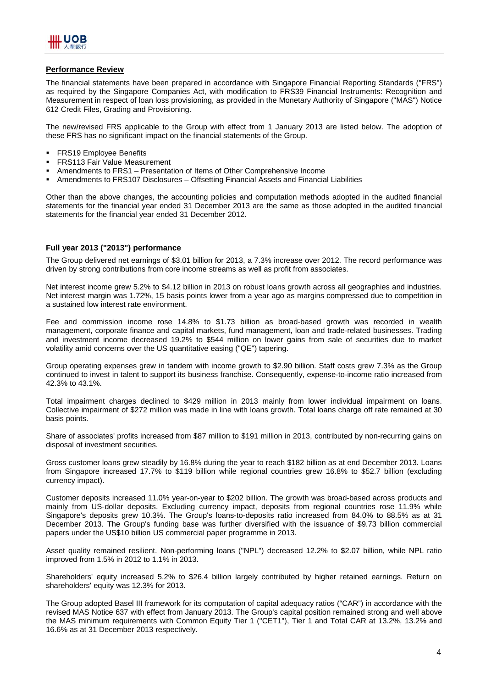

## **Performance Review**

The financial statements have been prepared in accordance with Singapore Financial Reporting Standards ("FRS") as required by the Singapore Companies Act, with modification to FRS39 Financial Instruments: Recognition and Measurement in respect of loan loss provisioning, as provided in the Monetary Authority of Singapore ("MAS") Notice 612 Credit Files, Grading and Provisioning.

The new/revised FRS applicable to the Group with effect from 1 January 2013 are listed below. The adoption of these FRS has no significant impact on the financial statements of the Group.

- **FRS19 Employee Benefits**
- FRS113 Fair Value Measurement
- Amendments to FRS1 Presentation of Items of Other Comprehensive Income
- Amendments to FRS107 Disclosures Offsetting Financial Assets and Financial Liabilities

Other than the above changes, the accounting policies and computation methods adopted in the audited financial statements for the financial year ended 31 December 2013 are the same as those adopted in the audited financial statements for the financial year ended 31 December 2012.

#### **Full year 2013 ("2013") performance**

The Group delivered net earnings of \$3.01 billion for 2013, a 7.3% increase over 2012. The record performance was driven by strong contributions from core income streams as well as profit from associates.

Net interest income grew 5.2% to \$4.12 billion in 2013 on robust loans growth across all geographies and industries. Net interest margin was 1.72%, 15 basis points lower from a year ago as margins compressed due to competition in a sustained low interest rate environment.

Fee and commission income rose 14.8% to \$1.73 billion as broad-based growth was recorded in wealth management, corporate finance and capital markets, fund management, loan and trade-related businesses. Trading and investment income decreased 19.2% to \$544 million on lower gains from sale of securities due to market volatility amid concerns over the US quantitative easing ("QE") tapering.

Group operating expenses grew in tandem with income growth to \$2.90 billion. Staff costs grew 7.3% as the Group continued to invest in talent to support its business franchise. Consequently, expense-to-income ratio increased from 42.3% to 43.1%.

Total impairment charges declined to \$429 million in 2013 mainly from lower individual impairment on loans. Collective impairment of \$272 million was made in line with loans growth. Total loans charge off rate remained at 30 basis points.

Share of associates' profits increased from \$87 million to \$191 million in 2013, contributed by non-recurring gains on disposal of investment securities.

Gross customer loans grew steadily by 16.8% during the year to reach \$182 billion as at end December 2013. Loans from Singapore increased 17.7% to \$119 billion while regional countries grew 16.8% to \$52.7 billion (excluding currency impact).

Customer deposits increased 11.0% year-on-year to \$202 billion. The growth was broad-based across products and mainly from US-dollar deposits. Excluding currency impact, deposits from regional countries rose 11.9% while Singapore's deposits grew 10.3%. The Group's loans-to-deposits ratio increased from 84.0% to 88.5% as at 31 December 2013. The Group's funding base was further diversified with the issuance of \$9.73 billion commercial papers under the US\$10 billion US commercial paper programme in 2013.

Asset quality remained resilient. Non-performing loans ("NPL") decreased 12.2% to \$2.07 billion, while NPL ratio improved from 1.5% in 2012 to 1.1% in 2013.

Shareholders' equity increased 5.2% to \$26.4 billion largely contributed by higher retained earnings. Return on shareholders' equity was 12.3% for 2013.

The Group adopted Basel III framework for its computation of capital adequacy ratios ("CAR") in accordance with the revised MAS Notice 637 with effect from January 2013. The Group's capital position remained strong and well above the MAS minimum requirements with Common Equity Tier 1 ("CET1"), Tier 1 and Total CAR at 13.2%, 13.2% and 16.6% as at 31 December 2013 respectively.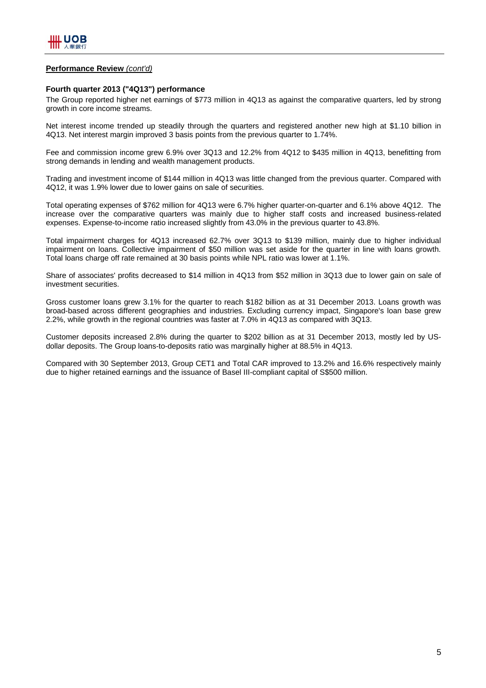

#### **Performance Review** *(cont'd)*

#### **Fourth quarter 2013 ("4Q13") performance**

The Group reported higher net earnings of \$773 million in 4Q13 as against the comparative quarters, led by strong growth in core income streams.

Net interest income trended up steadily through the quarters and registered another new high at \$1.10 billion in 4Q13. Net interest margin improved 3 basis points from the previous quarter to 1.74%.

Fee and commission income grew 6.9% over 3Q13 and 12.2% from 4Q12 to \$435 million in 4Q13, benefitting from strong demands in lending and wealth management products.

Trading and investment income of \$144 million in 4Q13 was little changed from the previous quarter. Compared with 4Q12, it was 1.9% lower due to lower gains on sale of securities.

Total operating expenses of \$762 million for 4Q13 were 6.7% higher quarter-on-quarter and 6.1% above 4Q12. The increase over the comparative quarters was mainly due to higher staff costs and increased business-related expenses. Expense-to-income ratio increased slightly from 43.0% in the previous quarter to 43.8%.

Total impairment charges for 4Q13 increased 62.7% over 3Q13 to \$139 million, mainly due to higher individual impairment on loans. Collective impairment of \$50 million was set aside for the quarter in line with loans growth. Total loans charge off rate remained at 30 basis points while NPL ratio was lower at 1.1%.

Share of associates' profits decreased to \$14 million in 4Q13 from \$52 million in 3Q13 due to lower gain on sale of investment securities.

Gross customer loans grew 3.1% for the quarter to reach \$182 billion as at 31 December 2013. Loans growth was broad-based across different geographies and industries. Excluding currency impact, Singapore's loan base grew 2.2%, while growth in the regional countries was faster at 7.0% in 4Q13 as compared with 3Q13.

Customer deposits increased 2.8% during the quarter to \$202 billion as at 31 December 2013, mostly led by USdollar deposits. The Group loans-to-deposits ratio was marginally higher at 88.5% in 4Q13.

Compared with 30 September 2013, Group CET1 and Total CAR improved to 13.2% and 16.6% respectively mainly due to higher retained earnings and the issuance of Basel III-compliant capital of S\$500 million.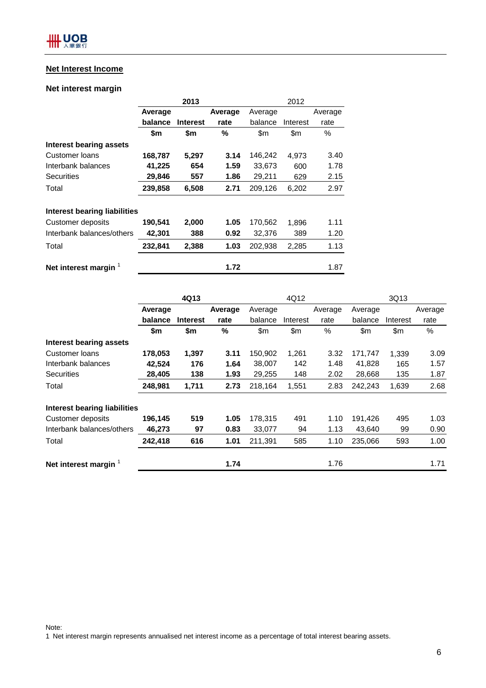## **Net Interest Income**

# **Net interest margin**

|                                     |         | 2013            |         | 2012    |          |         |  |
|-------------------------------------|---------|-----------------|---------|---------|----------|---------|--|
|                                     | Average |                 | Average | Average |          | Average |  |
|                                     | balance | <b>Interest</b> | rate    | balance | Interest | rate    |  |
|                                     | \$m     | \$m             | %       | \$m     | \$m      | $\%$    |  |
| Interest bearing assets             |         |                 |         |         |          |         |  |
| Customer loans                      | 168,787 | 5,297           | 3.14    | 146,242 | 4.973    | 3.40    |  |
| Interbank balances                  | 41,225  | 654             | 1.59    | 33,673  | 600      | 1.78    |  |
| <b>Securities</b>                   | 29,846  | 557             | 1.86    | 29,211  | 629      | 2.15    |  |
| Total                               | 239,858 | 6,508           | 2.71    | 209,126 | 6,202    | 2.97    |  |
| <b>Interest bearing liabilities</b> |         |                 |         |         |          |         |  |
| Customer deposits                   | 190,541 | 2,000           | 1.05    | 170,562 | 1,896    | 1.11    |  |
| Interbank balances/others           | 42,301  | 388             | 0.92    | 32,376  | 389      | 1.20    |  |
| Total                               | 232,841 | 2,388           | 1.03    | 202,938 | 2,285    | 1.13    |  |
| Net interest margin 1               |         |                 | 1.72    |         |          | 1.87    |  |

|                                     | 4Q13    |                 |         | 4Q12    |          |         | 3Q13    |          |         |
|-------------------------------------|---------|-----------------|---------|---------|----------|---------|---------|----------|---------|
|                                     | Average |                 | Average | Average |          | Average | Average |          | Average |
|                                     | balance | <b>Interest</b> | rate    | balance | Interest | rate    | balance | Interest | rate    |
|                                     | \$m     | \$m             | $\%$    | \$m     | \$m      | %       | \$m     | \$m\$    | %       |
| Interest bearing assets             |         |                 |         |         |          |         |         |          |         |
| Customer Ioans                      | 178,053 | 1,397           | 3.11    | 150,902 | 1,261    | 3.32    | 171,747 | 1,339    | 3.09    |
| Interbank balances                  | 42,524  | 176             | 1.64    | 38,007  | 142      | 1.48    | 41,828  | 165      | 1.57    |
| <b>Securities</b>                   | 28,405  | 138             | 1.93    | 29,255  | 148      | 2.02    | 28,668  | 135      | 1.87    |
| Total                               | 248,981 | 1,711           | 2.73    | 218.164 | 1,551    | 2.83    | 242,243 | 1,639    | 2.68    |
| <b>Interest bearing liabilities</b> |         |                 |         |         |          |         |         |          |         |
| <b>Customer deposits</b>            | 196,145 | 519             | 1.05    | 178,315 | 491      | 1.10    | 191,426 | 495      | 1.03    |
| Interbank balances/others           | 46,273  | 97              | 0.83    | 33,077  | 94       | 1.13    | 43,640  | 99       | 0.90    |
| Total                               | 242,418 | 616             | 1.01    | 211,391 | 585      | 1.10    | 235,066 | 593      | 1.00    |
| Net interest margin                 |         |                 | 1.74    |         |          | 1.76    |         |          | 1.71    |

Note:

1 Net interest margin represents annualised net interest income as a percentage of total interest bearing assets.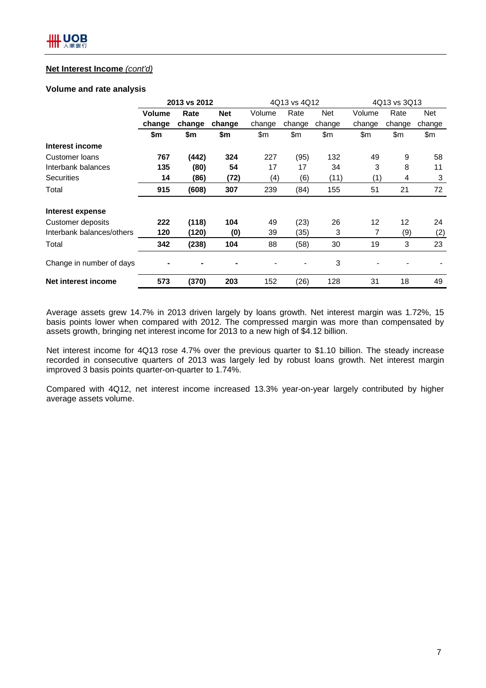## **Net Interest Income** *(cont'd)*

## **Volume and rate analysis**

|                           | 2013 vs 2012  |        |            | 4Q13 vs 4Q12 |        |            | 4Q13 vs 3Q13 |        |        |
|---------------------------|---------------|--------|------------|--------------|--------|------------|--------------|--------|--------|
|                           | <b>Volume</b> | Rate   | <b>Net</b> | Volume       | Rate   | <b>Net</b> | Volume       | Rate   | Net    |
|                           | change        | change | change     | change       | change | change     | change       | change | change |
|                           | \$m           | \$m    | \$m        | \$m          | \$m    | \$m        | \$m          | \$m    | \$m    |
| Interest income           |               |        |            |              |        |            |              |        |        |
| Customer Ioans            | 767           | (442)  | 324        | 227          | (95)   | 132        | 49           | 9      | 58     |
| Interbank balances        | 135           | (80)   | 54         | 17           | 17     | 34         | 3            | 8      | 11     |
| <b>Securities</b>         | 14            | (86)   | (72)       | (4)          | (6)    | (11)       | (1)          | 4      | 3      |
| Total                     | 915           | (608)  | 307        | 239          | (84)   | 155        | 51           | 21     | 72     |
| <b>Interest expense</b>   |               |        |            |              |        |            |              |        |        |
| Customer deposits         | 222           | (118)  | 104        | 49           | (23)   | 26         | 12           | 12     | 24     |
| Interbank balances/others | 120           | (120)  | (0)        | 39           | (35)   | 3          | 7            | (9)    | (2)    |
| Total                     | 342           | (238)  | 104        | 88           | (58)   | 30         | 19           | 3      | 23     |
| Change in number of days  |               |        |            |              |        | 3          |              |        |        |
| Net interest income       | 573           | (370)  | 203        | 152          | (26)   | 128        | 31           | 18     | 49     |

Average assets grew 14.7% in 2013 driven largely by loans growth. Net interest margin was 1.72%, 15 basis points lower when compared with 2012. The compressed margin was more than compensated by assets growth, bringing net interest income for 2013 to a new high of \$4.12 billion.

Net interest income for 4Q13 rose 4.7% over the previous quarter to \$1.10 billion. The steady increase recorded in consecutive quarters of 2013 was largely led by robust loans growth. Net interest margin improved 3 basis points quarter-on-quarter to 1.74%.

Compared with 4Q12, net interest income increased 13.3% year-on-year largely contributed by higher average assets volume.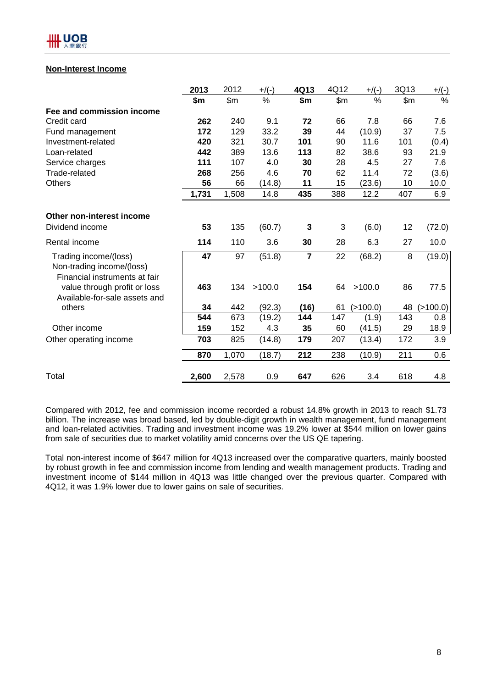## **Non-Interest Income**

|                                                                                     | 2013  | 2012  | $+$ /(-) | 4Q13                    | 4Q12  | $+$ /(-) | 3Q13  | $+/(-)$  |
|-------------------------------------------------------------------------------------|-------|-------|----------|-------------------------|-------|----------|-------|----------|
|                                                                                     | \$m   | \$m\$ | %        | \$m\$                   | \$m\$ | %        | \$m\$ | %        |
| Fee and commission income                                                           |       |       |          |                         |       |          |       |          |
| Credit card                                                                         | 262   | 240   | 9.1      | 72                      | 66    | 7.8      | 66    | 7.6      |
| Fund management                                                                     | 172   | 129   | 33.2     | 39                      | 44    | (10.9)   | 37    | 7.5      |
| Investment-related                                                                  | 420   | 321   | 30.7     | 101                     | 90    | 11.6     | 101   | (0.4)    |
| Loan-related                                                                        | 442   | 389   | 13.6     | 113                     | 82    | 38.6     | 93    | 21.9     |
| Service charges                                                                     | 111   | 107   | 4.0      | 30                      | 28    | 4.5      | 27    | 7.6      |
| Trade-related                                                                       | 268   | 256   | 4.6      | 70                      | 62    | 11.4     | 72    | (3.6)    |
| <b>Others</b>                                                                       | 56    | 66    | (14.8)   | 11                      | 15    | (23.6)   | 10    | 10.0     |
|                                                                                     | 1,731 | 1,508 | 14.8     | 435                     | 388   | 12.2     | 407   | 6.9      |
| Other non-interest income<br>Dividend income                                        | 53    | 135   | (60.7)   | 3                       | 3     | (6.0)    | 12    | (72.0)   |
| Rental income                                                                       | 114   | 110   | 3.6      | 30                      | 28    | 6.3      | 27    | 10.0     |
| Trading income/(loss)<br>Non-trading income/(loss)<br>Financial instruments at fair | 47    | 97    | (51.8)   | $\overline{\mathbf{r}}$ | 22    | (68.2)   | 8     | (19.0)   |
| value through profit or loss<br>Available-for-sale assets and                       | 463   | 134   | >100.0   | 154                     | 64    | >100.0   | 86    | 77.5     |
| others                                                                              | 34    | 442   | (92.3)   | (16)                    | 61    | (>100.0) | 48    | (>100.0) |
|                                                                                     | 544   | 673   | (19.2)   | 144                     | 147   | (1.9)    | 143   | 0.8      |
| Other income                                                                        | 159   | 152   | 4.3      | 35                      | 60    | (41.5)   | 29    | 18.9     |
| Other operating income                                                              | 703   | 825   | (14.8)   | 179                     | 207   | (13.4)   | 172   | 3.9      |
|                                                                                     | 870   | 1,070 | (18.7)   | 212                     | 238   | (10.9)   | 211   | 0.6      |
| Total                                                                               | 2,600 | 2,578 | 0.9      | 647                     | 626   | 3.4      | 618   | 4.8      |

Compared with 2012, fee and commission income recorded a robust 14.8% growth in 2013 to reach \$1.73 billion. The increase was broad based, led by double-digit growth in wealth management, fund management and loan-related activities. Trading and investment income was 19.2% lower at \$544 million on lower gains from sale of securities due to market volatility amid concerns over the US QE tapering.

Total non-interest income of \$647 million for 4Q13 increased over the comparative quarters, mainly boosted by robust growth in fee and commission income from lending and wealth management products. Trading and investment income of \$144 million in 4Q13 was little changed over the previous quarter. Compared with 4Q12, it was 1.9% lower due to lower gains on sale of securities.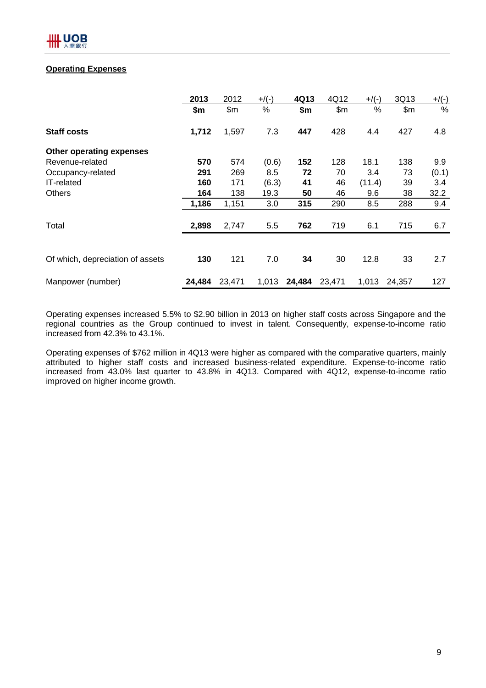## **Operating Expenses**

|                                  | 2013   | 2012   | $+$ /(-) | 4Q13   | 4Q12   | $+$ /(-) | 3Q13   | $+$ /(-) |
|----------------------------------|--------|--------|----------|--------|--------|----------|--------|----------|
|                                  | \$m    | \$m\$  | %        | \$m    | \$m    | $\%$     | \$m    | %        |
| <b>Staff costs</b>               | 1,712  | 1,597  | 7.3      | 447    | 428    | 4.4      | 427    | 4.8      |
| <b>Other operating expenses</b>  |        |        |          |        |        |          |        |          |
| Revenue-related                  | 570    | 574    | (0.6)    | 152    | 128    | 18.1     | 138    | 9.9      |
| Occupancy-related                | 291    | 269    | 8.5      | 72     | 70     | 3.4      | 73     | (0.1)    |
| IT-related                       | 160    | 171    | (6.3)    | 41     | 46     | (11.4)   | 39     | 3.4      |
| <b>Others</b>                    | 164    | 138    | 19.3     | 50     | 46     | 9.6      | 38     | 32.2     |
|                                  | 1,186  | 1,151  | 3.0      | 315    | 290    | 8.5      | 288    | 9.4      |
| Total                            | 2,898  | 2,747  | 5.5      | 762    | 719    | 6.1      | 715    | 6.7      |
|                                  |        |        |          |        |        |          |        |          |
| Of which, depreciation of assets | 130    | 121    | 7.0      | 34     | 30     | 12.8     | 33     | 2.7      |
| Manpower (number)                | 24,484 | 23.471 | 1,013    | 24,484 | 23,471 | 1,013    | 24.357 | 127      |

Operating expenses increased 5.5% to \$2.90 billion in 2013 on higher staff costs across Singapore and the regional countries as the Group continued to invest in talent. Consequently, expense-to-income ratio increased from 42.3% to 43.1%.

Operating expenses of \$762 million in 4Q13 were higher as compared with the comparative quarters, mainly attributed to higher staff costs and increased business-related expenditure. Expense-to-income ratio increased from 43.0% last quarter to 43.8% in 4Q13. Compared with 4Q12, expense-to-income ratio improved on higher income growth.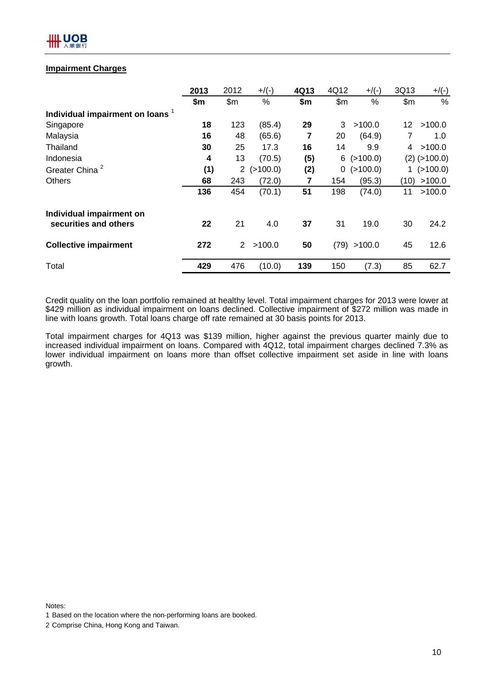## **Impairment Charges**

|                                             | 2013 | 2012           | $+$ /(-) | 4Q13  | 4Q12  | $+$ /(-)     | 3Q13  | $+$ /(-)           |
|---------------------------------------------|------|----------------|----------|-------|-------|--------------|-------|--------------------|
|                                             | \$m  | \$m\$          | %        | \$m\$ | \$m\$ | %            | \$m\$ | %                  |
| Individual impairment on loans <sup>1</sup> |      |                |          |       |       |              |       |                    |
| Singapore                                   | 18   | 123            | (85.4)   | 29    | 3     | >100.0       | 12    | >100.0             |
| Malaysia                                    | 16   | 48             | (65.6)   | 7     | 20    | (64.9)       | 7     | 1.0                |
| Thailand                                    | 30   | 25             | 17.3     | 16    | 14    | 9.9          | 4     | >100.0             |
| Indonesia                                   | 4    | 13             | (70.5)   | (5)   | 6     | (>100.0)     |       | $(2)$ ( $>100.0$ ) |
| Greater China <sup>2</sup>                  | (1)  | $\overline{2}$ | (>100.0) | (2)   | 0     | ( > 100.0)   | 1.    | (>100.0)           |
| <b>Others</b>                               | 68   | 243            | (72.0)   | 7     | 154   | (95.3)       | (10)  | >100.0             |
|                                             | 136  | 454            | (70.1)   | 51    | 198   | (74.0)       | 11    | >100.0             |
| Individual impairment on                    |      |                |          |       |       |              |       |                    |
| securities and others                       | 22   | 21             | 4.0      | 37    | 31    | 19.0         | 30    | 24.2               |
| <b>Collective impairment</b>                | 272  | $\overline{2}$ | >100.0   | 50    |       | (79) > 100.0 | 45    | 12.6               |
| Total                                       | 429  | 476            | (10.0)   | 139   | 150   | (7.3)        | 85    | 62.7               |

Credit quality on the loan portfolio remained at healthy level. Total impairment charges for 2013 were lower at \$429 million as individual impairment on loans declined. Collective impairment of \$272 million was made in line with loans growth. Total loans charge off rate remained at 30 basis points for 2013.

Total impairment charges for 4Q13 was \$139 million, higher against the previous quarter mainly due to increased individual impairment on loans. Compared with 4Q12, total impairment charges declined 7.3% as lower individual impairment on loans more than offset collective impairment set aside in line with loans growth.

Notes:

<sup>1</sup> Based on the location where the non-performing loans are booked.

<sup>2</sup> Comprise China, Hong Kong and Taiwan.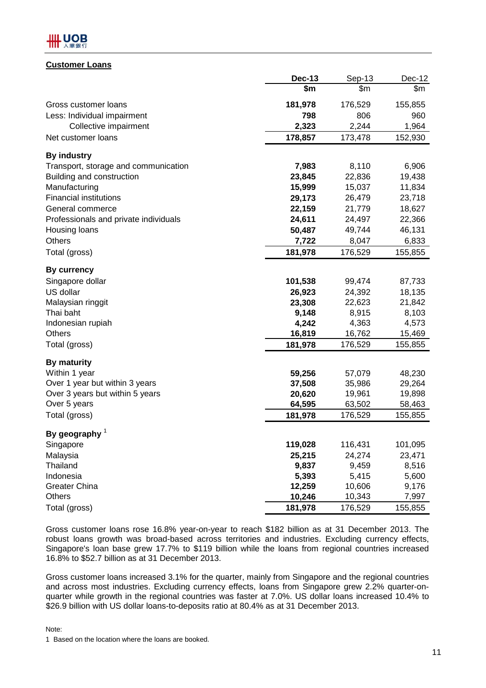

## **Customer Loans**

|                                       | <b>Dec-13</b> | Sep-13  | Dec-12  |
|---------------------------------------|---------------|---------|---------|
|                                       | \$m           | \$m     | \$m     |
| Gross customer loans                  | 181,978       | 176,529 | 155,855 |
| Less: Individual impairment           | 798           | 806     | 960     |
| Collective impairment                 | 2,323         | 2,244   | 1,964   |
| Net customer loans                    | 178,857       | 173,478 | 152,930 |
| <b>By industry</b>                    |               |         |         |
| Transport, storage and communication  | 7,983         | 8,110   | 6,906   |
| Building and construction             | 23,845        | 22,836  | 19,438  |
| Manufacturing                         | 15,999        | 15,037  | 11,834  |
| <b>Financial institutions</b>         | 29,173        | 26,479  | 23,718  |
| General commerce                      | 22,159        | 21,779  | 18,627  |
| Professionals and private individuals | 24,611        | 24,497  | 22,366  |
| Housing loans                         | 50,487        | 49,744  | 46,131  |
| Others                                | 7,722         | 8,047   | 6,833   |
| Total (gross)                         | 181,978       | 176,529 | 155,855 |
| <b>By currency</b>                    |               |         |         |
| Singapore dollar                      | 101,538       | 99,474  | 87,733  |
| US dollar                             | 26,923        | 24,392  | 18,135  |
| Malaysian ringgit                     | 23,308        | 22,623  | 21,842  |
| Thai baht                             | 9,148         | 8,915   | 8,103   |
| Indonesian rupiah                     | 4,242         | 4,363   | 4,573   |
| <b>Others</b>                         | 16,819        | 16,762  | 15,469  |
| Total (gross)                         | 181,978       | 176,529 | 155,855 |
| <b>By maturity</b>                    |               |         |         |
| Within 1 year                         | 59,256        | 57,079  | 48,230  |
| Over 1 year but within 3 years        | 37,508        | 35,986  | 29,264  |
| Over 3 years but within 5 years       | 20,620        | 19,961  | 19,898  |
| Over 5 years                          | 64,595        | 63,502  | 58,463  |
| Total (gross)                         | 181,978       | 176,529 | 155,855 |
| By geography $1$                      |               |         |         |
| Singapore                             | 119,028       | 116,431 | 101,095 |
| Malaysia                              | 25,215        | 24,274  | 23,471  |
| <b>Thailand</b>                       | 9,837         | 9,459   | 8,516   |
| Indonesia                             | 5,393         | 5,415   | 5,600   |
| <b>Greater China</b>                  | 12,259        | 10,606  | 9,176   |
| <b>Others</b>                         | 10,246        | 10,343  | 7,997   |
| Total (gross)                         | 181,978       | 176,529 | 155,855 |

Gross customer loans rose 16.8% year-on-year to reach \$182 billion as at 31 December 2013. The robust loans growth was broad-based across territories and industries. Excluding currency effects, Singapore's loan base grew 17.7% to \$119 billion while the loans from regional countries increased 16.8% to \$52.7 billion as at 31 December 2013.

Gross customer loans increased 3.1% for the quarter, mainly from Singapore and the regional countries and across most industries. Excluding currency effects, loans from Singapore grew 2.2% quarter-onquarter while growth in the regional countries was faster at 7.0%. US dollar loans increased 10.4% to \$26.9 billion with US dollar loans-to-deposits ratio at 80.4% as at 31 December 2013.

Note:

1 Based on the location where the loans are booked.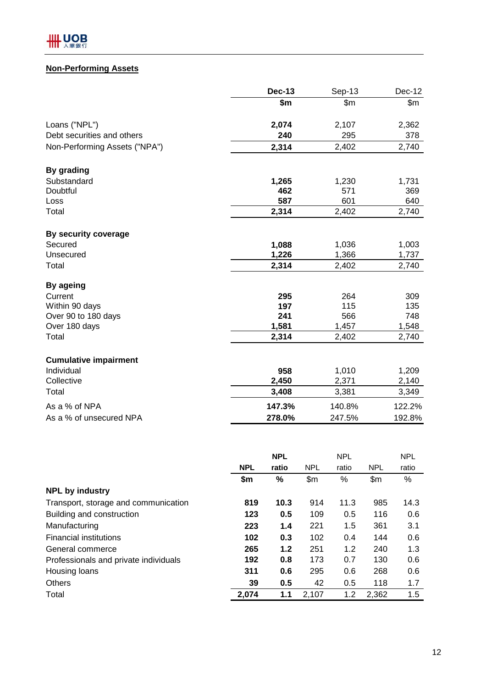# **Non-Performing Assets**

|                               | <b>Dec-13</b> | Sep-13 | Dec-12 |
|-------------------------------|---------------|--------|--------|
|                               | \$m           | \$m\$  | \$m\$  |
| Loans ("NPL")                 | 2,074         | 2,107  | 2,362  |
| Debt securities and others    | 240           | 295    | 378    |
| Non-Performing Assets ("NPA") | 2,314         | 2,402  | 2,740  |
| By grading                    |               |        |        |
| Substandard                   | 1,265         | 1,230  | 1,731  |
| Doubtful                      | 462           | 571    | 369    |
| Loss                          | 587           | 601    | 640    |
| Total                         | 2,314         | 2,402  | 2,740  |
| By security coverage          |               |        |        |
| Secured                       | 1,088         | 1,036  | 1,003  |
| Unsecured                     | 1,226         | 1,366  | 1,737  |
| Total                         | 2,314         | 2,402  | 2,740  |
| <b>By ageing</b>              |               |        |        |
| Current                       | 295           | 264    | 309    |
| Within 90 days                | 197           | 115    | 135    |
| Over 90 to 180 days           | 241           | 566    | 748    |
| Over 180 days                 | 1,581         | 1,457  | 1,548  |
| Total                         | 2,314         | 2,402  | 2,740  |
| <b>Cumulative impairment</b>  |               |        |        |
| Individual                    | 958           | 1,010  | 1,209  |
| Collective                    | 2,450         | 2,371  | 2,140  |
| Total                         | 3,408         | 3,381  | 3,349  |
| As a % of NPA                 | 147.3%        | 140.8% | 122.2% |
| As a % of unsecured NPA       | 278.0%        | 247.5% | 192.8% |

| <b>NPL</b>          |            | <b>NPL</b> | <b>NPL</b> |       |
|---------------------|------------|------------|------------|-------|
| <b>NPL</b><br>ratio | <b>NPL</b> | ratio      | <b>NPL</b> | ratio |
| %<br>\$m            | \$m\$      | %          | \$m        | %     |
|                     |            |            |            |       |
| 819<br>10.3         | 914        | 11.3       | 985        | 14.3  |
| 123<br>0.5          | 109        | 0.5        | 116        | 0.6   |
| 223<br>1.4          | 221        | 1.5        | 361        | 3.1   |
| 102<br>0.3          | 102        | 0.4        | 144        | 0.6   |
| 265<br>1.2          | 251        | 1.2        | 240        | 1.3   |
| 192<br>0.8          | 173        | 0.7        | 130        | 0.6   |
| 311<br>0.6          | 295        | 0.6        | 268        | 0.6   |
| 39<br>0.5           | 42         | 0.5        | 118        | 1.7   |
| 2,074<br>1.1        | 2,107      | 1.2        | 2,362      | 1.5   |
|                     |            |            |            |       |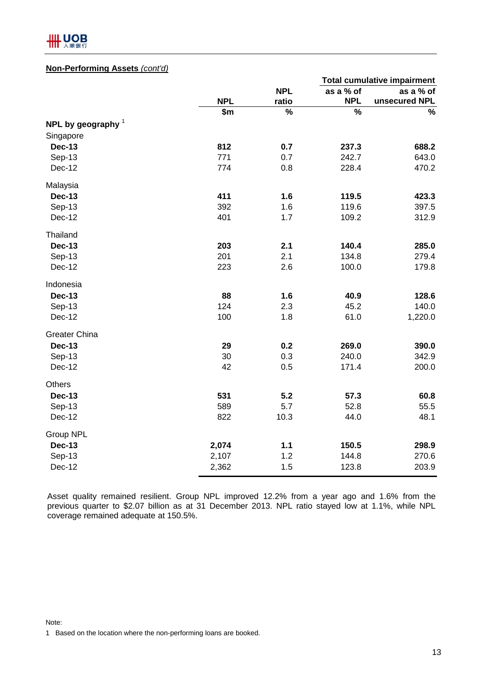

## **Non-Performing Assets** *(cont'd)*

|                      |            | <b>Total cumulative impairment</b> |            |               |  |
|----------------------|------------|------------------------------------|------------|---------------|--|
|                      |            | <b>NPL</b>                         | as a % of  | as a % of     |  |
|                      | <b>NPL</b> | ratio                              | <b>NPL</b> | unsecured NPL |  |
|                      | \$m        | $\%$                               | %          | %             |  |
| NPL by geography $1$ |            |                                    |            |               |  |
| Singapore            |            |                                    |            |               |  |
| <b>Dec-13</b>        | 812        | 0.7                                | 237.3      | 688.2         |  |
| Sep-13               | 771        | 0.7                                | 242.7      | 643.0         |  |
| <b>Dec-12</b>        | 774        | 0.8                                | 228.4      | 470.2         |  |
| Malaysia             |            |                                    |            |               |  |
| <b>Dec-13</b>        | 411        | 1.6                                | 119.5      | 423.3         |  |
| Sep-13               | 392        | 1.6                                | 119.6      | 397.5         |  |
| Dec-12               | 401        | 1.7                                | 109.2      | 312.9         |  |
| Thailand             |            |                                    |            |               |  |
| <b>Dec-13</b>        | 203        | 2.1                                | 140.4      | 285.0         |  |
| Sep-13               | 201        | 2.1                                | 134.8      | 279.4         |  |
| Dec-12               | 223        | 2.6                                | 100.0      | 179.8         |  |
| Indonesia            |            |                                    |            |               |  |
| <b>Dec-13</b>        | 88         | 1.6                                | 40.9       | 128.6         |  |
| Sep-13               | 124        | 2.3                                | 45.2       | 140.0         |  |
| <b>Dec-12</b>        | 100        | 1.8                                | 61.0       | 1,220.0       |  |
| <b>Greater China</b> |            |                                    |            |               |  |
| <b>Dec-13</b>        | 29         | 0.2                                | 269.0      | 390.0         |  |
| Sep-13               | 30         | 0.3                                | 240.0      | 342.9         |  |
| Dec-12               | 42         | 0.5                                | 171.4      | 200.0         |  |
| <b>Others</b>        |            |                                    |            |               |  |
| <b>Dec-13</b>        | 531        | 5.2                                | 57.3       | 60.8          |  |
| Sep-13               | 589        | 5.7                                | 52.8       | 55.5          |  |
| Dec-12               | 822        | 10.3                               | 44.0       | 48.1          |  |
| Group NPL            |            |                                    |            |               |  |
| <b>Dec-13</b>        | 2,074      | 1.1                                | 150.5      | 298.9         |  |
| Sep-13               | 2,107      | 1.2                                | 144.8      | 270.6         |  |
| Dec-12               | 2,362      | 1.5                                | 123.8      | 203.9         |  |

Asset quality remained resilient. Group NPL improved 12.2% from a year ago and 1.6% from the previous quarter to \$2.07 billion as at 31 December 2013. NPL ratio stayed low at 1.1%, while NPL coverage remained adequate at 150.5%.

Note:

1 Based on the location where the non-performing loans are booked.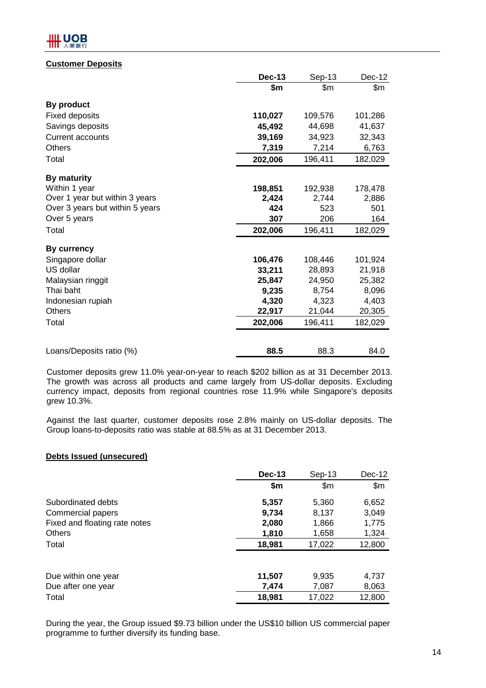#### III UOB 大華銀行

## **Customer Deposits**

|                                 | <b>Dec-13</b> | Sep-13  | Dec-12  |
|---------------------------------|---------------|---------|---------|
|                                 | \$m           | \$m     | \$m     |
| By product                      |               |         |         |
| <b>Fixed deposits</b>           | 110,027       | 109,576 | 101,286 |
| Savings deposits                | 45,492        | 44,698  | 41,637  |
| <b>Current accounts</b>         | 39,169        | 34,923  | 32,343  |
| <b>Others</b>                   | 7,319         | 7,214   | 6,763   |
| Total                           | 202,006       | 196,411 | 182,029 |
| <b>By maturity</b>              |               |         |         |
| Within 1 year                   | 198,851       | 192,938 | 178,478 |
| Over 1 year but within 3 years  | 2,424         | 2,744   | 2,886   |
| Over 3 years but within 5 years | 424           | 523     | 501     |
| Over 5 years                    | 307           | 206     | 164     |
| Total                           | 202,006       | 196,411 | 182,029 |
| <b>By currency</b>              |               |         |         |
| Singapore dollar                | 106,476       | 108,446 | 101,924 |
| US dollar                       | 33,211        | 28,893  | 21,918  |
| Malaysian ringgit               | 25,847        | 24,950  | 25,382  |
| Thai baht                       | 9,235         | 8,754   | 8,096   |
| Indonesian rupiah               | 4,320         | 4,323   | 4,403   |
| <b>Others</b>                   | 22,917        | 21,044  | 20,305  |
| Total                           | 202,006       | 196,411 | 182,029 |
|                                 |               |         |         |
| Loans/Deposits ratio (%)        | 88.5          | 88.3    | 84.0    |

Customer deposits grew 11.0% year-on-year to reach \$202 billion as at 31 December 2013. The growth was across all products and came largely from US-dollar deposits. Excluding currency impact, deposits from regional countries rose 11.9% while Singapore's deposits grew 10.3%.

Against the last quarter, customer deposits rose 2.8% mainly on US-dollar deposits. The Group loans-to-deposits ratio was stable at 88.5% as at 31 December 2013.

## **Debts Issued (unsecured)**

|                               | <b>Dec-13</b> | $Sep-13$      | Dec-12        |
|-------------------------------|---------------|---------------|---------------|
|                               | \$m           | $\mathsf{Sm}$ | $\mathsf{Sm}$ |
| Subordinated debts            | 5,357         | 5,360         | 6,652         |
| Commercial papers             | 9,734         | 8,137         | 3,049         |
| Fixed and floating rate notes | 2,080         | 1,866         | 1,775         |
| <b>Others</b>                 | 1,810         | 1,658         | 1,324         |
| Total                         | 18,981        | 17,022        | 12,800        |
| Due within one year           | 11,507        | 9,935         | 4,737         |
| Due after one year            | 7,474         | 7,087         | 8,063         |
| Total                         | 18,981        | 17,022        | 12,800        |
|                               |               |               |               |

During the year, the Group issued \$9.73 billion under the US\$10 billion US commercial paper programme to further diversify its funding base.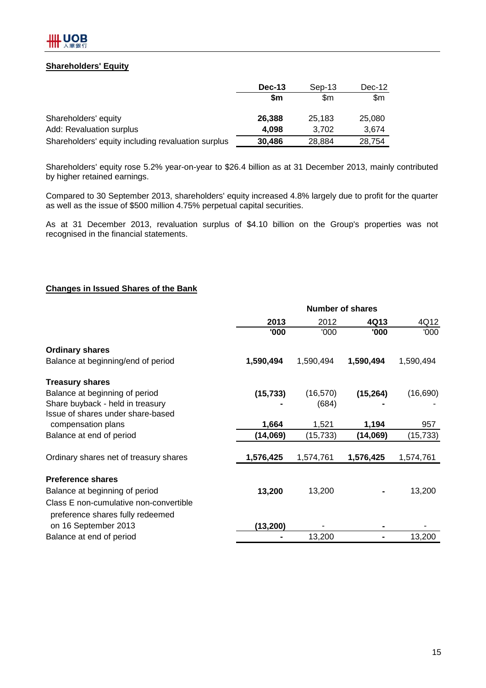

# **Shareholders' Equity**

|                                                    | <b>Dec-13</b> | Sep-13 | Dec-12 |
|----------------------------------------------------|---------------|--------|--------|
|                                                    | \$m           | \$m    | \$m    |
| Shareholders' equity                               | 26,388        | 25.183 | 25,080 |
| Add: Revaluation surplus                           | 4.098         | 3.702  | 3.674  |
| Shareholders' equity including revaluation surplus | 30,486        | 28.884 | 28,754 |

Shareholders' equity rose 5.2% year-on-year to \$26.4 billion as at 31 December 2013, mainly contributed by higher retained earnings.

Compared to 30 September 2013, shareholders' equity increased 4.8% largely due to profit for the quarter as well as the issue of \$500 million 4.75% perpetual capital securities.

As at 31 December 2013, revaluation surplus of \$4.10 billion on the Group's properties was not recognised in the financial statements.

## **Changes in Issued Shares of the Bank**

|                                                                            | <b>Number of shares</b> |           |           |           |  |  |  |
|----------------------------------------------------------------------------|-------------------------|-----------|-----------|-----------|--|--|--|
|                                                                            | 2013                    | 2012      | 4Q13      | 4Q12      |  |  |  |
|                                                                            | '000                    | '000      | '000      | '000      |  |  |  |
| <b>Ordinary shares</b>                                                     |                         |           |           |           |  |  |  |
| Balance at beginning/end of period                                         | 1,590,494               | 1,590,494 | 1,590,494 | 1,590,494 |  |  |  |
| <b>Treasury shares</b>                                                     |                         |           |           |           |  |  |  |
| Balance at beginning of period                                             | (15, 733)               | (16, 570) | (15, 264) | (16, 690) |  |  |  |
| Share buyback - held in treasury                                           |                         | (684)     |           |           |  |  |  |
| Issue of shares under share-based                                          |                         |           |           |           |  |  |  |
| compensation plans                                                         | 1,664                   | 1,521     | 1,194     | 957       |  |  |  |
| Balance at end of period                                                   | (14,069)                | (15, 733) | (14,069)  | (15, 733) |  |  |  |
| Ordinary shares net of treasury shares                                     | 1,576,425               | 1,574,761 | 1,576,425 | 1,574,761 |  |  |  |
| <b>Preference shares</b>                                                   |                         |           |           |           |  |  |  |
| Balance at beginning of period                                             | 13,200                  | 13,200    |           | 13,200    |  |  |  |
| Class E non-cumulative non-convertible<br>preference shares fully redeemed |                         |           |           |           |  |  |  |
| on 16 September 2013                                                       | (13, 200)               |           |           |           |  |  |  |
| Balance at end of period                                                   |                         | 13,200    |           | 13,200    |  |  |  |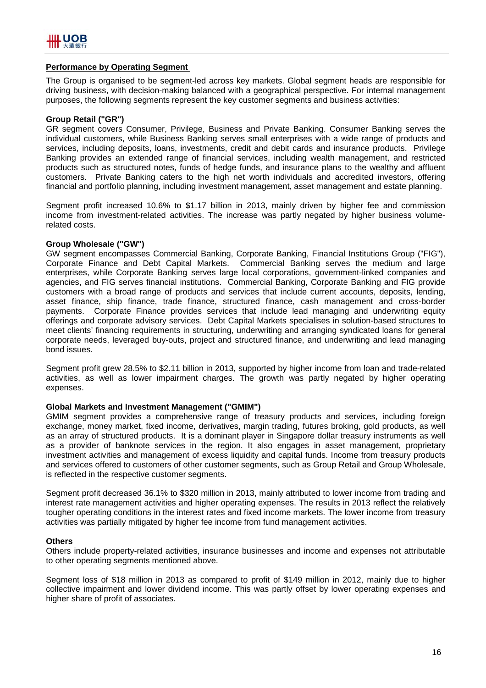

#### **Performance by Operating Segment**

The Group is organised to be segment-led across key markets. Global segment heads are responsible for driving business, with decision-making balanced with a geographical perspective. For internal management purposes, the following segments represent the key customer segments and business activities:

#### **Group Retail ("GR")**

GR segment covers Consumer, Privilege, Business and Private Banking. Consumer Banking serves the individual customers, while Business Banking serves small enterprises with a wide range of products and services, including deposits, loans, investments, credit and debit cards and insurance products. Privilege Banking provides an extended range of financial services, including wealth management, and restricted products such as structured notes, funds of hedge funds, and insurance plans to the wealthy and affluent customers. Private Banking caters to the high net worth individuals and accredited investors, offering financial and portfolio planning, including investment management, asset management and estate planning.

Segment profit increased 10.6% to \$1.17 billion in 2013, mainly driven by higher fee and commission income from investment-related activities. The increase was partly negated by higher business volumerelated costs.

#### **Group Wholesale ("GW")**

GW segment encompasses Commercial Banking, Corporate Banking, Financial Institutions Group ("FIG"), Corporate Finance and Debt Capital Markets. Commercial Banking serves the medium and large enterprises, while Corporate Banking serves large local corporations, government-linked companies and agencies, and FIG serves financial institutions. Commercial Banking, Corporate Banking and FIG provide customers with a broad range of products and services that include current accounts, deposits, lending, asset finance, ship finance, trade finance, structured finance, cash management and cross-border payments. Corporate Finance provides services that include lead managing and underwriting equity offerings and corporate advisory services. Debt Capital Markets specialises in solution-based structures to meet clients' financing requirements in structuring, underwriting and arranging syndicated loans for general corporate needs, leveraged buy-outs, project and structured finance, and underwriting and lead managing bond issues.

Segment profit grew 28.5% to \$2.11 billion in 2013, supported by higher income from loan and trade-related activities, as well as lower impairment charges. The growth was partly negated by higher operating expenses.

#### **Global Markets and Investment Management ("GMIM")**

GMIM segment provides a comprehensive range of treasury products and services, including foreign exchange, money market, fixed income, derivatives, margin trading, futures broking, gold products, as well as an array of structured products. It is a dominant player in Singapore dollar treasury instruments as well as a provider of banknote services in the region. It also engages in asset management, proprietary investment activities and management of excess liquidity and capital funds. Income from treasury products and services offered to customers of other customer segments, such as Group Retail and Group Wholesale, is reflected in the respective customer segments.

Segment profit decreased 36.1% to \$320 million in 2013, mainly attributed to lower income from trading and interest rate management activities and higher operating expenses. The results in 2013 reflect the relatively tougher operating conditions in the interest rates and fixed income markets. The lower income from treasury activities was partially mitigated by higher fee income from fund management activities.

#### **Others**

Others include property-related activities, insurance businesses and income and expenses not attributable to other operating segments mentioned above.

Segment loss of \$18 million in 2013 as compared to profit of \$149 million in 2012, mainly due to higher collective impairment and lower dividend income. This was partly offset by lower operating expenses and higher share of profit of associates.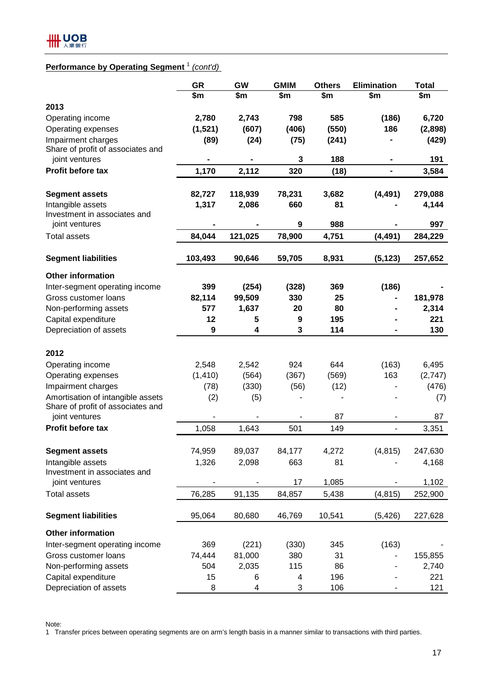# **Performance by Operating Segment** <sup>1</sup> *(cont'd)*

|                                   | <b>GR</b> | GW                           | <b>GMIM</b> | <b>Others</b> | <b>Elimination</b> | <b>Total</b> |
|-----------------------------------|-----------|------------------------------|-------------|---------------|--------------------|--------------|
|                                   | \$m       | \$m                          | \$m         | \$m           | \$m                | \$m          |
| 2013                              |           |                              |             |               |                    |              |
| Operating income                  | 2,780     | 2,743                        | 798         | 585           | (186)              | 6,720        |
| Operating expenses                | (1,521)   | (607)                        | (406)       | (550)         | 186                | (2,898)      |
| Impairment charges                | (89)      | (24)                         | (75)        | (241)         |                    | (429)        |
| Share of profit of associates and |           |                              |             |               |                    |              |
| joint ventures                    | ۰         | $\qquad \qquad \blacksquare$ | 3           | 188           | $\blacksquare$     | 191          |
| Profit before tax                 | 1,170     | 2,112                        | 320         | (18)          | $\blacksquare$     | 3,584        |
| <b>Segment assets</b>             | 82,727    | 118,939                      | 78,231      | 3,682         | (4, 491)           | 279,088      |
| Intangible assets                 | 1,317     | 2,086                        | 660         | 81            |                    | 4,144        |
| Investment in associates and      |           |                              |             |               |                    |              |
| joint ventures                    |           |                              | 9           | 988           |                    | 997          |
| <b>Total assets</b>               | 84,044    | 121,025                      | 78,900      | 4,751         | (4, 491)           | 284,229      |
| <b>Segment liabilities</b>        | 103,493   | 90,646                       | 59,705      | 8,931         | (5, 123)           | 257,652      |
| <b>Other information</b>          |           |                              |             |               |                    |              |
| Inter-segment operating income    | 399       | (254)                        | (328)       | 369           | (186)              |              |
| Gross customer loans              | 82,114    | 99,509                       | 330         | 25            |                    | 181,978      |
| Non-performing assets             | 577       | 1,637                        | 20          | 80            |                    | 2,314        |
| Capital expenditure               | 12        | 5                            | 9           | 195           |                    | 221          |
| Depreciation of assets            | 9         | 4                            | 3           | 114           |                    | 130          |
| 2012                              |           |                              |             |               |                    |              |
| Operating income                  | 2,548     | 2,542                        | 924         | 644           | (163)              | 6,495        |
| Operating expenses                | (1, 410)  | (564)                        | (367)       | (569)         | 163                | (2,747)      |
| Impairment charges                | (78)      | (330)                        | (56)        | (12)          |                    | (476)        |
| Amortisation of intangible assets | (2)       | (5)                          |             |               |                    | (7)          |
| Share of profit of associates and |           |                              |             |               |                    |              |
| joint ventures                    |           |                              |             | 87            | ٠                  | 87           |
| Profit before tax                 | 1,058     | 1,643                        | 501         | 149           | $\blacksquare$     | 3,351        |
| <b>Segment assets</b>             | 74,959    | 89,037                       | 84,177      | 4,272         | (4, 815)           | 247,630      |
| Intangible assets                 | 1,326     | 2,098                        | 663         | 81            |                    | 4,168        |
| Investment in associates and      |           |                              |             |               |                    |              |
| joint ventures                    |           |                              | 17          | 1,085         |                    | 1,102        |
| <b>Total assets</b>               | 76,285    | 91,135                       | 84,857      | 5,438         | (4, 815)           | 252,900      |
| <b>Segment liabilities</b>        | 95,064    | 80,680                       | 46,769      | 10,541        | (5, 426)           | 227,628      |
| Other information                 |           |                              |             |               |                    |              |
| Inter-segment operating income    | 369       | (221)                        | (330)       | 345           | (163)              |              |
| Gross customer loans              | 74,444    | 81,000                       | 380         | 31            |                    | 155,855      |
| Non-performing assets             | 504       | 2,035                        | 115         | 86            |                    | 2,740        |
| Capital expenditure               | 15        | 6                            | 4           | 196           |                    | 221          |
| Depreciation of assets            | 8         | 4                            | 3           | 106           |                    | 121          |

Note:

1 Transfer prices between operating segments are on arm's length basis in a manner similar to transactions with third parties.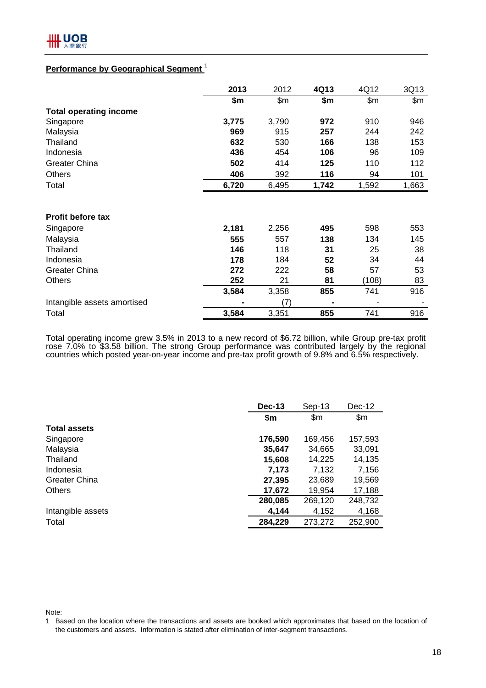# **Performance by Geographical Segment** <sup>1</sup>

|                               | 2013  | 2012  | 4Q13  | 4Q12  | 3Q13  |
|-------------------------------|-------|-------|-------|-------|-------|
|                               | \$m   | \$m\$ | \$m   | \$m\$ | \$m   |
| <b>Total operating income</b> |       |       |       |       |       |
| Singapore                     | 3,775 | 3,790 | 972   | 910   | 946   |
| Malaysia                      | 969   | 915   | 257   | 244   | 242   |
| Thailand                      | 632   | 530   | 166   | 138   | 153   |
| Indonesia                     | 436   | 454   | 106   | 96    | 109   |
| <b>Greater China</b>          | 502   | 414   | 125   | 110   | 112   |
| <b>Others</b>                 | 406   | 392   | 116   | 94    | 101   |
| Total                         | 6,720 | 6,495 | 1,742 | 1,592 | 1,663 |
|                               |       |       |       |       |       |
| <b>Profit before tax</b>      |       |       |       |       |       |
| Singapore                     | 2,181 | 2,256 | 495   | 598   | 553   |
| Malaysia                      | 555   | 557   | 138   | 134   | 145   |
| Thailand                      | 146   | 118   | 31    | 25    | 38    |
| Indonesia                     | 178   | 184   | 52    | 34    | 44    |
| <b>Greater China</b>          | 272   | 222   | 58    | 57    | 53    |
| <b>Others</b>                 | 252   | 21    | 81    | (108) | 83    |
|                               | 3,584 | 3,358 | 855   | 741   | 916   |
| Intangible assets amortised   |       | (7)   |       |       |       |
| Total                         | 3,584 | 3,351 | 855   | 741   | 916   |

Total operating income grew 3.5% in 2013 to a new record of \$6.72 billion, while Group pre-tax profit rose 7.0% to \$3.58 billion. The strong Group performance was contributed largely by the regional countries which posted year-on-year income and pre-tax profit growth of 9.8% and 6.5% respectively.

|                      | <b>Dec-13</b> | $Sep-13$ | $Dec-12$ |
|----------------------|---------------|----------|----------|
|                      | \$m           | \$m      | \$m      |
| <b>Total assets</b>  |               |          |          |
| Singapore            | 176,590       | 169,456  | 157,593  |
| Malaysia             | 35,647        | 34,665   | 33,091   |
| Thailand             | 15,608        | 14,225   | 14,135   |
| Indonesia            | 7,173         | 7,132    | 7,156    |
| <b>Greater China</b> | 27,395        | 23,689   | 19,569   |
| <b>Others</b>        | 17,672        | 19,954   | 17,188   |
|                      | 280,085       | 269,120  | 248,732  |
| Intangible assets    | 4,144         | 4,152    | 4,168    |
| Total                | 284,229       | 273,272  | 252,900  |

Note:

<sup>1</sup> Based on the location where the transactions and assets are booked which approximates that based on the location of the customers and assets. Information is stated after elimination of inter-segment transactions.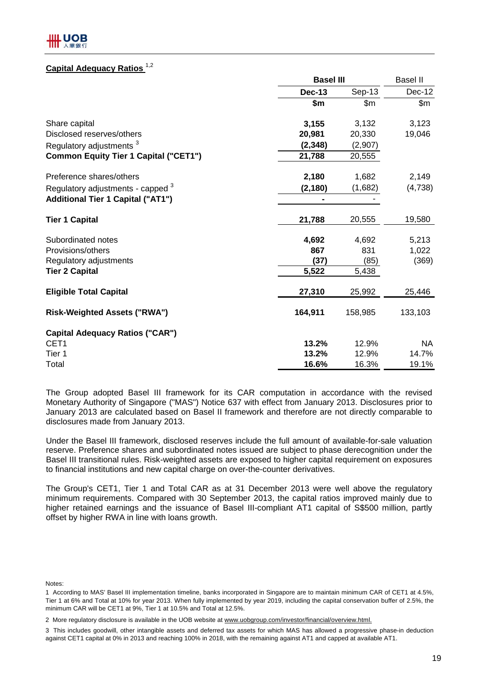# **Capital Adequacy Ratios**<sup>1,2</sup>

|                                              | <b>Basel III</b> | <b>Basel II</b> |         |
|----------------------------------------------|------------------|-----------------|---------|
|                                              | <b>Dec-13</b>    | Sep-13          | Dec-12  |
|                                              | \$m              | \$m\$           | \$m\$   |
| Share capital                                | 3,155            | 3,132           | 3,123   |
| Disclosed reserves/others                    | 20,981           | 20,330          | 19,046  |
| Regulatory adjustments <sup>3</sup>          | (2, 348)         | (2,907)         |         |
| <b>Common Equity Tier 1 Capital ("CET1")</b> | 21,788           | 20,555          |         |
| Preference shares/others                     | 2,180            | 1,682           | 2,149   |
| Regulatory adjustments - capped <sup>3</sup> | (2, 180)         | (1,682)         | (4,738) |
| <b>Additional Tier 1 Capital ("AT1")</b>     |                  |                 |         |
| <b>Tier 1 Capital</b>                        | 21,788           | 20,555          | 19,580  |
| Subordinated notes                           | 4,692            | 4,692           | 5,213   |
| Provisions/others                            | 867              | 831             | 1,022   |
| Regulatory adjustments                       | (37)             | (85)            | (369)   |
| <b>Tier 2 Capital</b>                        | 5,522            | 5,438           |         |
| <b>Eligible Total Capital</b>                | 27,310           | 25,992          | 25,446  |
| <b>Risk-Weighted Assets ("RWA")</b>          | 164,911          | 158,985         | 133,103 |
| <b>Capital Adequacy Ratios ("CAR")</b>       |                  |                 |         |
| CET <sub>1</sub>                             | 13.2%            | 12.9%           | NA.     |
| Tier 1                                       | 13.2%            | 12.9%           | 14.7%   |
| Total                                        | 16.6%            | 16.3%           | 19.1%   |

The Group adopted Basel III framework for its CAR computation in accordance with the revised Monetary Authority of Singapore ("MAS") Notice 637 with effect from January 2013. Disclosures prior to January 2013 are calculated based on Basel II framework and therefore are not directly comparable to disclosures made from January 2013.

Under the Basel III framework, disclosed reserves include the full amount of available-for-sale valuation reserve. Preference shares and subordinated notes issued are subject to phase derecognition under the Basel III transitional rules. Risk-weighted assets are exposed to higher capital requirement on exposures to financial institutions and new capital charge on over-the-counter derivatives.

The Group's CET1, Tier 1 and Total CAR as at 31 December 2013 were well above the regulatory minimum requirements. Compared with 30 September 2013, the capital ratios improved mainly due to higher retained earnings and the issuance of Basel III-compliant AT1 capital of S\$500 million, partly offset by higher RWA in line with loans growth.

Notes:

<sup>1</sup> According to MAS' Basel III implementation timeline, banks incorporated in Singapore are to maintain minimum CAR of CET1 at 4.5%, Tier 1 at 6% and Total at 10% for year 2013. When fully implemented by year 2019, including the capital conservation buffer of 2.5%, the minimum CAR will be CET1 at 9%, Tier 1 at 10.5% and Total at 12.5%.

<sup>2</sup> More regulatory disclosure is available in the UOB website at www.uobgroup.com/investor/financial/overview.html.

<sup>3</sup> This includes goodwill, other intangible assets and deferred tax assets for which MAS has allowed a progressive phase-in deduction against CET1 capital at 0% in 2013 and reaching 100% in 2018, with the remaining against AT1 and capped at available AT1.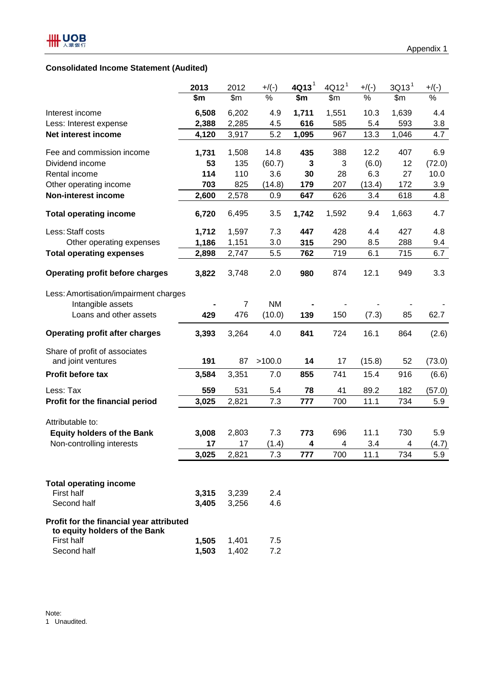|                                                                           | 2013  | 2012  | $+$ /(-)  | 4Q13 <sup>1</sup> | 4Q12 <sup>1</sup> | $+$ /(-) | 3Q13 <sup>1</sup> | $+$ /(-) |
|---------------------------------------------------------------------------|-------|-------|-----------|-------------------|-------------------|----------|-------------------|----------|
|                                                                           | \$m   | \$m\$ | $\%$      | \$m               | \$m\$             | $\%$     | \$m\$             | $\%$     |
| Interest income                                                           | 6,508 | 6,202 | 4.9       | 1,711             | 1,551             | 10.3     | 1,639             | 4.4      |
| Less: Interest expense                                                    | 2,388 | 2,285 | 4.5       | 616               | 585               | 5.4      | 593               | 3.8      |
| Net interest income                                                       | 4,120 | 3,917 | 5.2       | 1,095             | 967               | 13.3     | 1,046             | 4.7      |
| Fee and commission income                                                 | 1,731 | 1,508 | 14.8      | 435               | 388               | 12.2     | 407               | 6.9      |
| Dividend income                                                           | 53    | 135   | (60.7)    | 3                 | 3                 | (6.0)    | 12                | (72.0)   |
| Rental income                                                             | 114   | 110   | 3.6       | 30                | 28                | 6.3      | 27                | 10.0     |
| Other operating income                                                    | 703   | 825   | (14.8)    | 179               | 207               | (13.4)   | 172               | 3.9      |
| Non-interest income                                                       | 2,600 | 2,578 | 0.9       | 647               | 626               | 3.4      | 618               | 4.8      |
| <b>Total operating income</b>                                             | 6,720 | 6,495 | 3.5       | 1,742             | 1,592             | 9.4      | 1,663             | 4.7      |
| Less: Staff costs                                                         | 1,712 | 1,597 | 7.3       | 447               | 428               | 4.4      | 427               | 4.8      |
| Other operating expenses                                                  | 1,186 | 1,151 | 3.0       | 315               | 290               | 8.5      | 288               | 9.4      |
| <b>Total operating expenses</b>                                           | 2,898 | 2,747 | 5.5       | 762               | 719               | 6.1      | 715               | 6.7      |
| <b>Operating profit before charges</b>                                    | 3,822 | 3,748 | 2.0       | 980               | 874               | 12.1     | 949               | 3.3      |
| Less: Amortisation/impairment charges                                     |       |       |           |                   |                   |          |                   |          |
| Intangible assets                                                         |       | 7     | <b>NM</b> |                   |                   |          |                   |          |
| Loans and other assets                                                    | 429   | 476   | (10.0)    | 139               | 150               | (7.3)    | 85                | 62.7     |
| <b>Operating profit after charges</b>                                     | 3,393 | 3,264 | 4.0       | 841               | 724               | 16.1     | 864               | (2.6)    |
| Share of profit of associates                                             |       |       |           |                   |                   |          |                   |          |
| and joint ventures                                                        | 191   | 87    | >100.0    | 14                | 17                | (15.8)   | 52                | (73.0)   |
| Profit before tax                                                         | 3,584 | 3,351 | 7.0       | 855               | 741               | 15.4     | 916               | (6.6)    |
| Less: Tax                                                                 | 559   | 531   | 5.4       | 78                | 41                | 89.2     | 182               | (57.0)   |
| Profit for the financial period                                           | 3,025 | 2,821 | 7.3       | 777               | 700               | 11.1     | 734               | 5.9      |
| Attributable to:                                                          |       |       |           |                   |                   |          |                   |          |
| <b>Equity holders of the Bank</b>                                         | 3,008 | 2,803 | 7.3       | 773               | 696               | 11.1     | 730               | 5.9      |
| Non-controlling interests                                                 | 17    | 17    | (1.4)     | 4                 | 4                 | 3.4      | 4                 | (4.7)    |
|                                                                           | 3,025 | 2,821 | 7.3       | 777               | 700               | 11.1     | 734               | 5.9      |
|                                                                           |       |       |           |                   |                   |          |                   |          |
| <b>Total operating income</b>                                             |       |       |           |                   |                   |          |                   |          |
| First half                                                                | 3,315 | 3,239 | 2.4       |                   |                   |          |                   |          |
| Second half                                                               | 3,405 | 3,256 | 4.6       |                   |                   |          |                   |          |
| Profit for the financial year attributed<br>to equity holders of the Bank |       |       |           |                   |                   |          |                   |          |
| <b>First half</b>                                                         | 1,505 | 1,401 | 7.5       |                   |                   |          |                   |          |
| Second half                                                               | 1,503 | 1,402 | 7.2       |                   |                   |          |                   |          |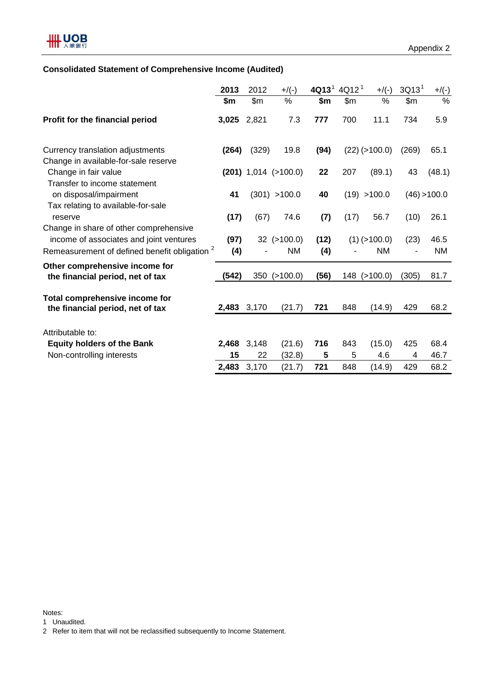# **Consolidated Statement of Comprehensive Income (Audited)**

|                                                                                                                                               | 2013        | 2012  | $+$ /(-)                       | 4Q13 <sup>1</sup> | 4Q12 <sup>1</sup> | $+$ /(-)                    | 3Q13 <sup>1</sup> | $+$ /(-)          |
|-----------------------------------------------------------------------------------------------------------------------------------------------|-------------|-------|--------------------------------|-------------------|-------------------|-----------------------------|-------------------|-------------------|
|                                                                                                                                               | \$m         | \$m\$ | $\%$                           | \$m               | \$m\$             | $\%$                        | \$m\$             | $\%$              |
| Profit for the financial period                                                                                                               | 3,025       | 2,821 | 7.3                            | 777               | 700               | 11.1                        | 734               | 5.9               |
| Currency translation adjustments                                                                                                              | (264)       | (329) | 19.8                           | (94)              |                   | $(22)$ ( $>100.0$ )         | (269)             | 65.1              |
| Change in available-for-sale reserve<br>Change in fair value<br>Transfer to income statement                                                  |             |       | $(201)$ 1,014 $(>100.0)$       | 22                | 207               | (89.1)                      | 43                | (48.1)            |
| on disposal/impairment<br>Tax relating to available-for-sale                                                                                  | 41          |       | (301) > 100.0                  | 40                |                   | (19) > 100.0                |                   | (46) > 100.0      |
| reserve                                                                                                                                       | (17)        | (67)  | 74.6                           | (7)               | (17)              | 56.7                        | (10)              | 26.1              |
| Change in share of other comprehensive<br>income of associates and joint ventures<br>Remeasurement of defined benefit obligation <sup>2</sup> | (97)<br>(4) |       | $32$ ( $>100.0$ )<br><b>NM</b> | (12)<br>(4)       |                   | $(1)$ (>100.0)<br><b>NM</b> | (23)              | 46.5<br><b>NM</b> |
| Other comprehensive income for                                                                                                                |             |       |                                |                   |                   |                             |                   |                   |
| the financial period, net of tax                                                                                                              | (542)       |       | 350 (>100.0)                   | (56)              |                   | 148 (>100.0)                | (305)             | 81.7              |
| Total comprehensive income for<br>the financial period, net of tax                                                                            | 2,483       | 3,170 | (21.7)                         | 721               | 848               | (14.9)                      | 429               | 68.2              |
| Attributable to:                                                                                                                              |             |       |                                |                   |                   |                             |                   |                   |
| <b>Equity holders of the Bank</b>                                                                                                             | 2,468       | 3,148 | (21.6)                         | 716               | 843               | (15.0)                      | 425               | 68.4              |
| Non-controlling interests                                                                                                                     | 15          | 22    | (32.8)                         | 5                 | 5                 | 4.6                         | 4                 | 46.7              |
|                                                                                                                                               | 2,483       | 3,170 | (21.7)                         | 721               | 848               | (14.9)                      | 429               | 68.2              |

Notes:

1 Unaudited.

2 Refer to item that will not be reclassified subsequently to Income Statement.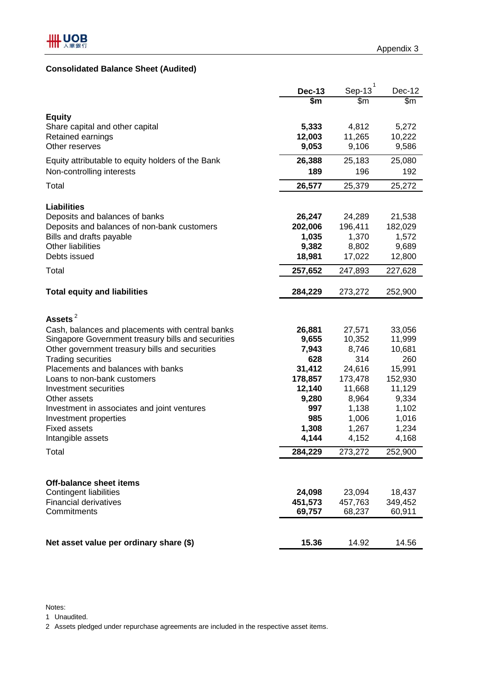# **Consolidated Balance Sheet (Audited)**

|                                                    | <b>Dec-13</b> | 1<br>Sep-13 | Dec-12  |
|----------------------------------------------------|---------------|-------------|---------|
|                                                    | \$m           | \$m         | \$m     |
| <b>Equity</b>                                      |               |             |         |
| Share capital and other capital                    | 5,333         | 4,812       | 5,272   |
| Retained earnings                                  | 12,003        | 11,265      | 10,222  |
| Other reserves                                     | 9,053         | 9,106       | 9,586   |
| Equity attributable to equity holders of the Bank  | 26,388        | 25,183      | 25,080  |
| Non-controlling interests                          | 189           | 196         | 192     |
| Total                                              | 26,577        | 25,379      | 25,272  |
|                                                    |               |             |         |
| <b>Liabilities</b>                                 |               |             |         |
| Deposits and balances of banks                     | 26,247        | 24,289      | 21,538  |
| Deposits and balances of non-bank customers        | 202,006       | 196,411     | 182,029 |
| Bills and drafts payable                           | 1,035         | 1,370       | 1,572   |
| <b>Other liabilities</b>                           | 9,382         | 8,802       | 9,689   |
| Debts issued                                       | 18,981        | 17,022      | 12,800  |
| Total                                              | 257,652       | 247,893     | 227,628 |
|                                                    |               |             |         |
| <b>Total equity and liabilities</b>                | 284,229       | 273,272     | 252,900 |
|                                                    |               |             |         |
| Assets <sup>2</sup>                                |               |             |         |
| Cash, balances and placements with central banks   | 26,881        | 27,571      | 33,056  |
| Singapore Government treasury bills and securities | 9,655         | 10,352      | 11,999  |
| Other government treasury bills and securities     | 7,943         | 8,746       | 10,681  |
| <b>Trading securities</b>                          | 628           | 314         | 260     |
| Placements and balances with banks                 | 31,412        | 24,616      | 15,991  |
| Loans to non-bank customers                        | 178,857       | 173,478     | 152,930 |
| Investment securities                              | 12,140        | 11,668      | 11,129  |
| Other assets                                       | 9,280         | 8,964       | 9,334   |
| Investment in associates and joint ventures        | 997           | 1,138       | 1,102   |
| Investment properties                              | 985           | 1,006       | 1,016   |
| <b>Fixed assets</b>                                | 1,308         | 1,267       | 1,234   |
| Intangible assets                                  | 4,144         | 4,152       | 4,168   |
| Total                                              | 284,229       | 273,272     | 252,900 |
|                                                    |               |             |         |
|                                                    |               |             |         |
| Off-balance sheet items                            |               |             |         |
| <b>Contingent liabilities</b>                      | 24,098        | 23,094      | 18,437  |
| <b>Financial derivatives</b>                       | 451,573       | 457,763     | 349,452 |
| Commitments                                        | 69,757        | 68,237      | 60,911  |
|                                                    |               |             |         |
| Net asset value per ordinary share (\$)            | 15.36         | 14.92       | 14.56   |

Notes:

1 Unaudited.

2 Assets pledged under repurchase agreements are included in the respective asset items.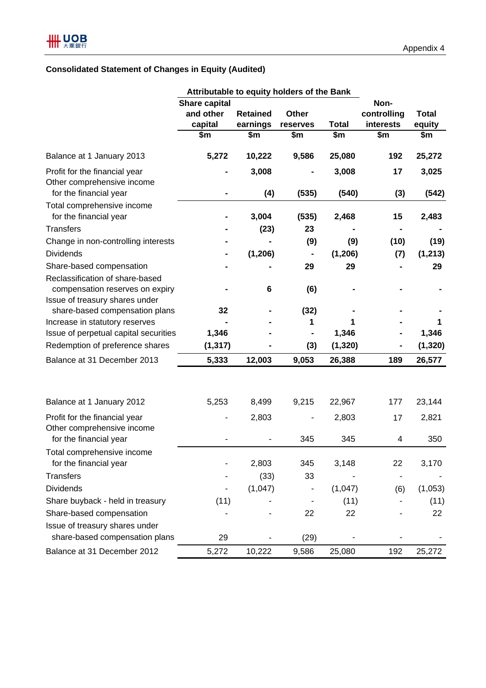# **Consolidated Statement of Changes in Equity (Audited)**

|                                                                    |                      |                 | Attributable to equity holders of the Bank |              |             |              |
|--------------------------------------------------------------------|----------------------|-----------------|--------------------------------------------|--------------|-------------|--------------|
|                                                                    | <b>Share capital</b> |                 |                                            |              | Non-        |              |
|                                                                    | and other            | <b>Retained</b> | <b>Other</b>                               |              | controlling | <b>Total</b> |
|                                                                    | capital              | earnings        | reserves                                   | <b>Total</b> | interests   | equity       |
|                                                                    | \$m                  | \$m             | \$m                                        | \$m          | \$m         | \$m          |
| Balance at 1 January 2013                                          | 5,272                | 10,222          | 9,586                                      | 25,080       | 192         | 25,272       |
| Profit for the financial year<br>Other comprehensive income        |                      | 3,008           |                                            | 3,008        | 17          | 3,025        |
| for the financial year                                             |                      | (4)             | (535)                                      | (540)        | (3)         | (542)        |
| Total comprehensive income<br>for the financial year               |                      | 3,004           | (535)                                      | 2,468        | 15          | 2,483        |
| <b>Transfers</b>                                                   |                      | (23)            | 23                                         |              |             |              |
| Change in non-controlling interests                                |                      |                 | (9)                                        | (9)          | (10)        | (19)         |
| <b>Dividends</b>                                                   |                      | (1, 206)        |                                            | (1, 206)     | (7)         | (1, 213)     |
| Share-based compensation                                           |                      |                 | 29                                         | 29           |             | 29           |
| Reclassification of share-based<br>compensation reserves on expiry |                      | 6               | (6)                                        |              |             |              |
| Issue of treasury shares under                                     |                      |                 |                                            |              |             |              |
| share-based compensation plans                                     | 32                   |                 | (32)                                       |              |             |              |
| Increase in statutory reserves                                     |                      |                 | 1                                          |              |             | 1            |
| Issue of perpetual capital securities                              | 1,346                |                 |                                            | 1,346        |             | 1,346        |
| Redemption of preference shares                                    | (1, 317)             |                 | (3)                                        | (1, 320)     |             | (1, 320)     |
| Balance at 31 December 2013                                        | 5,333                | 12,003          | 9,053                                      | 26,388       | 189         | 26,577       |
|                                                                    |                      |                 |                                            |              |             |              |
| Balance at 1 January 2012                                          | 5,253                | 8,499           | 9,215                                      | 22,967       | 177         | 23,144       |
| Profit for the financial year<br>Other comprehensive income        |                      | 2,803           |                                            | 2,803        | 17          | 2,821        |
| for the financial year                                             |                      |                 | 345                                        | 345          | 4           | 350          |
| Total comprehensive income<br>for the financial year               |                      | 2,803           | 345                                        | 3,148        | 22          | 3,170        |
| <b>Transfers</b>                                                   |                      | (33)            | 33                                         |              |             |              |
| <b>Dividends</b>                                                   |                      | (1,047)         |                                            | (1,047)      |             |              |
|                                                                    |                      |                 |                                            |              | (6)         | (1,053)      |
| Share buyback - held in treasury                                   | (11)                 |                 |                                            | (11)         |             | (11)         |
| Share-based compensation                                           |                      |                 | 22                                         | 22           |             | 22           |
| Issue of treasury shares under                                     |                      |                 |                                            |              |             |              |
| share-based compensation plans                                     | 29                   |                 | (29)                                       |              |             |              |
| Balance at 31 December 2012                                        | 5,272                | 10,222          | 9,586                                      | 25,080       | 192         | 25,272       |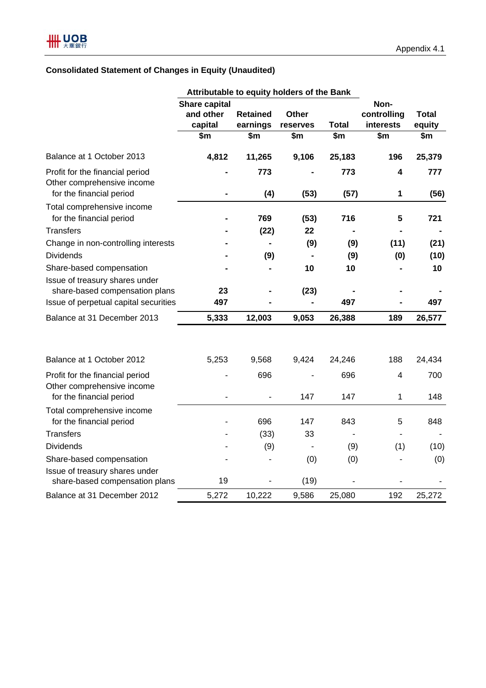# **Consolidated Statement of Changes in Equity (Unaudited)**

|                                                                                                           | Attributable to equity holders of the Bank          |                                      |                                       |                                  |                                                      |                               |
|-----------------------------------------------------------------------------------------------------------|-----------------------------------------------------|--------------------------------------|---------------------------------------|----------------------------------|------------------------------------------------------|-------------------------------|
|                                                                                                           | <b>Share capital</b><br>and other<br>capital<br>\$m | <b>Retained</b><br>earnings<br>\$m\$ | Other<br>reserves<br>$\overline{\$m}$ | <b>Total</b><br>$\overline{\$m}$ | Non-<br>controlling<br>interests<br>$\overline{\$m}$ | <b>Total</b><br>equity<br>\$m |
| Balance at 1 October 2013                                                                                 | 4,812                                               | 11,265                               | 9,106                                 | 25,183                           | 196                                                  | 25,379                        |
| Profit for the financial period<br>Other comprehensive income<br>for the financial period                 |                                                     | 773<br>(4)                           | (53)                                  | 773<br>(57)                      | 4<br>1                                               | 777<br>(56)                   |
| Total comprehensive income<br>for the financial period                                                    |                                                     | 769                                  | (53)                                  | 716                              | 5                                                    | 721                           |
| <b>Transfers</b>                                                                                          |                                                     | (22)                                 | 22                                    |                                  |                                                      |                               |
| Change in non-controlling interests                                                                       |                                                     |                                      | (9)                                   | (9)                              | (11)                                                 | (21)                          |
| <b>Dividends</b>                                                                                          |                                                     | (9)                                  |                                       | (9)                              | (0)                                                  | (10)                          |
| Share-based compensation                                                                                  |                                                     |                                      | 10                                    | 10                               |                                                      | 10                            |
| Issue of treasury shares under<br>share-based compensation plans<br>Issue of perpetual capital securities | 23<br>497                                           |                                      | (23)                                  | 497                              |                                                      | 497                           |
| Balance at 31 December 2013                                                                               | 5,333                                               | 12,003                               | 9,053                                 | 26,388                           | 189                                                  | 26,577                        |
| Balance at 1 October 2012                                                                                 | 5,253                                               | 9,568                                | 9,424                                 | 24,246                           | 188                                                  | 24,434                        |
| Profit for the financial period<br>Other comprehensive income                                             |                                                     | 696                                  |                                       | 696                              | 4                                                    | 700                           |
| for the financial period                                                                                  |                                                     |                                      | 147                                   | 147                              | 1                                                    | 148                           |
| Total comprehensive income<br>for the financial period                                                    |                                                     | 696                                  | 147                                   | 843                              | 5                                                    | 848                           |
| <b>Transfers</b>                                                                                          |                                                     | (33)                                 | 33                                    |                                  |                                                      |                               |
| <b>Dividends</b>                                                                                          |                                                     | (9)                                  |                                       | (9)                              | (1)                                                  | (10)                          |
| Share-based compensation<br>Issue of treasury shares under                                                |                                                     |                                      | (0)                                   | (0)                              |                                                      | (0)                           |
| share-based compensation plans                                                                            | 19                                                  |                                      | (19)                                  |                                  |                                                      |                               |
| Balance at 31 December 2012                                                                               | 5,272                                               | 10,222                               | 9,586                                 | 25,080                           | 192                                                  | 25,272                        |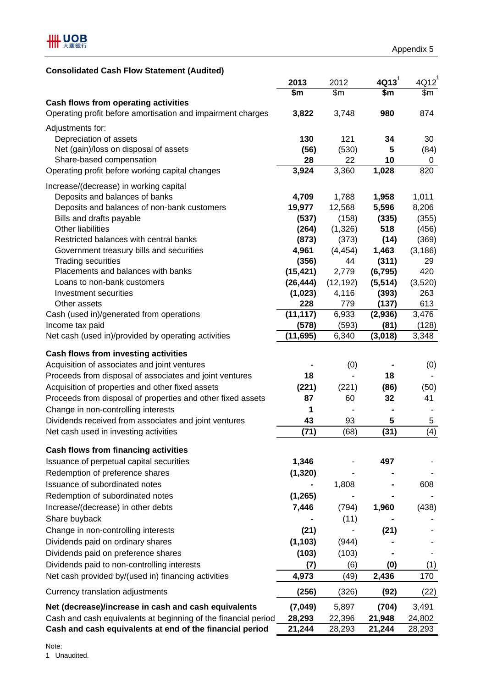# **Consolidated Cash Flow Statement (Audited)**

|                                                                | 2013      | 2012             | 4Q13 <sup>1</sup> | $4Q12^1$ |
|----------------------------------------------------------------|-----------|------------------|-------------------|----------|
|                                                                | \$m       | $\overline{\$m}$ | \$m               | \$m      |
| Cash flows from operating activities                           |           |                  |                   |          |
| Operating profit before amortisation and impairment charges    | 3,822     | 3,748            | 980               | 874      |
| Adjustments for:                                               |           |                  |                   |          |
| Depreciation of assets                                         | 130       | 121              | 34                | 30       |
| Net (gain)/loss on disposal of assets                          | (56)      | (530)            | 5                 | (84)     |
| Share-based compensation                                       | 28        | 22               | 10                | 0        |
| Operating profit before working capital changes                | 3,924     | 3,360            | 1,028             | 820      |
| Increase/(decrease) in working capital                         |           |                  |                   |          |
| Deposits and balances of banks                                 | 4,709     | 1,788            | 1,958             | 1,011    |
| Deposits and balances of non-bank customers                    | 19,977    | 12,568           | 5,596             | 8,206    |
| Bills and drafts payable                                       | (537)     | (158)            | (335)             | (355)    |
| <b>Other liabilities</b>                                       | (264)     | (1,326)          | 518               | (456)    |
| Restricted balances with central banks                         | (873)     | (373)            | (14)              | (369)    |
| Government treasury bills and securities                       | 4,961     | (4, 454)         | 1,463             | (3, 186) |
| <b>Trading securities</b>                                      | (356)     | 44               | (311)             | 29       |
| Placements and balances with banks                             | (15, 421) | 2,779            | (6, 795)          | 420      |
| Loans to non-bank customers                                    | (26, 444) | (12, 192)        | (5, 514)          | (3,520)  |
| Investment securities                                          | (1,023)   | 4,116            | (393)             | 263      |
| Other assets                                                   | 228       | 779              | (137)             | 613      |
| Cash (used in)/generated from operations                       | (11, 117) | 6,933            | (2,936)           | 3,476    |
| Income tax paid                                                | (578)     | (593)            | (81)              | (128)    |
| Net cash (used in)/provided by operating activities            | (11, 695) | 6,340            | (3,018)           | 3,348    |
|                                                                |           |                  |                   |          |
| <b>Cash flows from investing activities</b>                    |           |                  |                   |          |
| Acquisition of associates and joint ventures                   |           | (0)              |                   | (0)      |
| Proceeds from disposal of associates and joint ventures        | 18        |                  | 18                |          |
| Acquisition of properties and other fixed assets               | (221)     | (221)            | (86)              | (50)     |
| Proceeds from disposal of properties and other fixed assets    | 87        | 60               | 32                | 41       |
| Change in non-controlling interests                            | 1         |                  |                   |          |
| Dividends received from associates and joint ventures          | 43        | 93               | 5                 | 5        |
| Net cash used in investing activities                          | (71)      | (68)             | (31)              | (4)      |
| <b>Cash flows from financing activities</b>                    |           |                  |                   |          |
| Issuance of perpetual capital securities                       | 1,346     |                  | 497               |          |
|                                                                |           |                  |                   |          |
| Redemption of preference shares                                | (1, 320)  |                  |                   |          |
| Issuance of subordinated notes                                 |           | 1,808            |                   | 608      |
| Redemption of subordinated notes                               | (1, 265)  |                  |                   |          |
| Increase/(decrease) in other debts                             | 7,446     | (794)            | 1,960             | (438)    |
| Share buyback                                                  |           | (11)             |                   |          |
| Change in non-controlling interests                            | (21)      |                  | (21)              |          |
| Dividends paid on ordinary shares                              | (1, 103)  | (944)            |                   |          |
| Dividends paid on preference shares                            | (103)     | (103)            |                   |          |
| Dividends paid to non-controlling interests                    | (7)       | (6)              | (0)               | (1)      |
| Net cash provided by/(used in) financing activities            | 4,973     | (49)             | 2,436             | 170      |
| Currency translation adjustments                               | (256)     | (326)            | (92)              | (22)     |
| Net (decrease)/increase in cash and cash equivalents           | (7,049)   | 5,897            | (704)             | 3,491    |
| Cash and cash equivalents at beginning of the financial period | 28,293    | 22,396           | 21,948            | 24,802   |
| Cash and cash equivalents at end of the financial period       | 21,244    | 28,293           | 21,244            | 28,293   |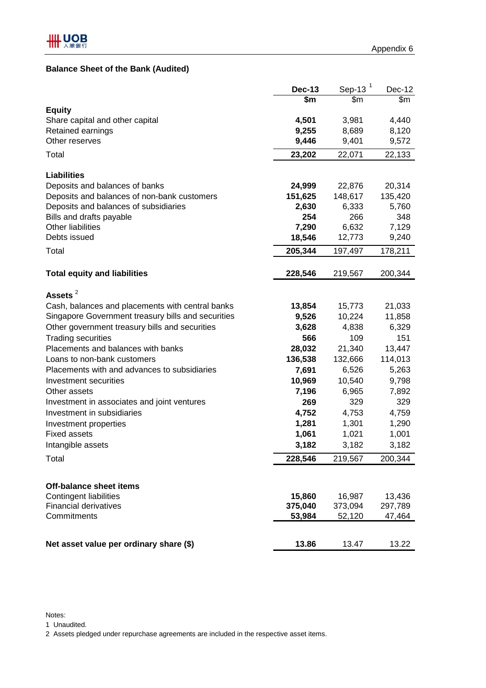# **Balance Sheet of the Bank (Audited)**

|                                                                   | <b>Dec-13</b> | $Sep-13$ <sup>1</sup> | Dec-12       |
|-------------------------------------------------------------------|---------------|-----------------------|--------------|
|                                                                   | \$m           | \$m                   | \$m          |
| <b>Equity</b>                                                     |               |                       |              |
| Share capital and other capital                                   | 4,501         | 3,981                 | 4,440        |
| Retained earnings                                                 | 9,255         | 8,689                 | 8,120        |
| Other reserves                                                    | 9,446         | 9,401                 | 9,572        |
| Total                                                             | 23,202        | 22,071                | 22,133       |
|                                                                   |               |                       |              |
| <b>Liabilities</b>                                                |               |                       |              |
| Deposits and balances of banks                                    | 24,999        | 22,876                | 20,314       |
| Deposits and balances of non-bank customers                       | 151,625       | 148,617               | 135,420      |
| Deposits and balances of subsidiaries<br>Bills and drafts payable | 2,630<br>254  | 6,333<br>266          | 5,760<br>348 |
| <b>Other liabilities</b>                                          | 7,290         | 6,632                 | 7,129        |
| Debts issued                                                      | 18,546        | 12,773                | 9,240        |
|                                                                   |               |                       |              |
| Total                                                             | 205,344       | 197,497               | 178,211      |
| <b>Total equity and liabilities</b>                               | 228,546       | 219,567               | 200,344      |
|                                                                   |               |                       |              |
| Assets <sup>2</sup>                                               |               |                       |              |
| Cash, balances and placements with central banks                  | 13,854        | 15,773                | 21,033       |
| Singapore Government treasury bills and securities                | 9,526         | 10,224                | 11,858       |
| Other government treasury bills and securities                    | 3,628         | 4,838                 | 6,329        |
| <b>Trading securities</b>                                         | 566           | 109                   | 151          |
| Placements and balances with banks                                | 28,032        | 21,340                | 13,447       |
| Loans to non-bank customers                                       | 136,538       | 132,666               | 114,013      |
| Placements with and advances to subsidiaries                      | 7,691         | 6,526                 | 5,263        |
| Investment securities                                             | 10,969        | 10,540                | 9,798        |
| Other assets                                                      | 7,196         | 6,965                 | 7,892        |
| Investment in associates and joint ventures                       | 269           | 329                   | 329          |
| Investment in subsidiaries                                        | 4,752         | 4,753                 | 4,759        |
| Investment properties                                             | 1,281         | 1,301                 | 1,290        |
| <b>Fixed assets</b>                                               | 1,061         | 1,021                 | 1,001        |
| Intangible assets                                                 | 3,182         | 3,182                 | 3,182        |
| Total                                                             | 228,546       | 219,567               | 200,344      |
|                                                                   |               |                       |              |
| <b>Off-balance sheet items</b>                                    |               |                       |              |
| <b>Contingent liabilities</b>                                     | 15,860        | 16,987                | 13,436       |
| <b>Financial derivatives</b>                                      | 375,040       | 373,094               | 297,789      |
| Commitments                                                       | 53,984        | 52,120                | 47,464       |
|                                                                   |               |                       |              |
| Net asset value per ordinary share (\$)                           | 13.86         | 13.47                 | 13.22        |

Notes:

1 Unaudited.

2 Assets pledged under repurchase agreements are included in the respective asset items.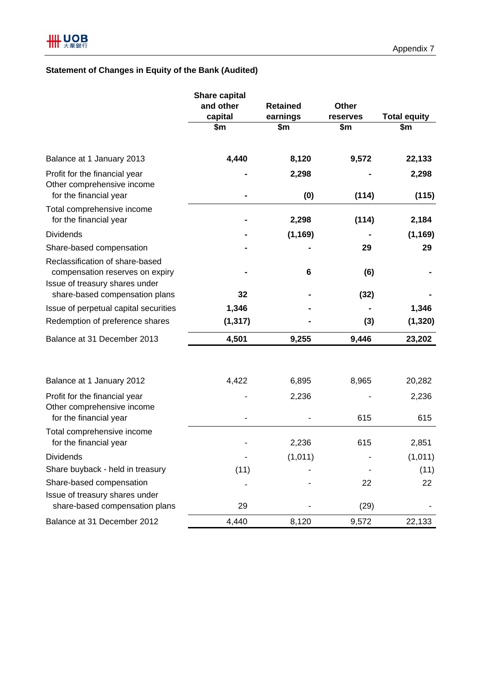# **Statement of Changes in Equity of the Bank (Audited)**

|                                                                                                      | <b>Share capital</b><br>and other<br>capital<br>\$m | <b>Retained</b><br>earnings<br>\$m | <b>Other</b><br>reserves<br>\$m | <b>Total equity</b><br>\$m |
|------------------------------------------------------------------------------------------------------|-----------------------------------------------------|------------------------------------|---------------------------------|----------------------------|
|                                                                                                      |                                                     |                                    |                                 |                            |
| Balance at 1 January 2013                                                                            | 4,440                                               | 8,120                              | 9,572                           | 22,133                     |
| Profit for the financial year<br>Other comprehensive income<br>for the financial year                |                                                     | 2,298<br>(0)                       | (114)                           | 2,298<br>(115)             |
| Total comprehensive income<br>for the financial year                                                 |                                                     | 2,298                              | (114)                           | 2,184                      |
| <b>Dividends</b>                                                                                     |                                                     | (1, 169)                           |                                 | (1, 169)                   |
| Share-based compensation                                                                             |                                                     |                                    | 29                              | 29                         |
| Reclassification of share-based<br>compensation reserves on expiry<br>Issue of treasury shares under |                                                     | 6                                  | (6)                             |                            |
| share-based compensation plans                                                                       | 32                                                  |                                    | (32)                            |                            |
| Issue of perpetual capital securities                                                                | 1,346                                               |                                    |                                 | 1,346                      |
| Redemption of preference shares                                                                      | (1, 317)                                            |                                    | (3)                             | (1, 320)                   |
| Balance at 31 December 2013                                                                          | 4,501                                               | 9,255                              | 9,446                           | 23,202                     |
| Balance at 1 January 2012                                                                            | 4,422                                               | 6,895                              | 8,965                           | 20,282                     |
| Profit for the financial year<br>Other comprehensive income<br>for the financial year                |                                                     | 2,236                              | 615                             | 2,236<br>615               |
| Total comprehensive income<br>for the financial year                                                 |                                                     | 2,236                              | 615                             | 2,851                      |
| <b>Dividends</b>                                                                                     |                                                     | (1,011)                            |                                 | (1,011)                    |
| Share buyback - held in treasury                                                                     | (11)                                                |                                    |                                 | (11)                       |
| Share-based compensation<br>Issue of treasury shares under                                           |                                                     |                                    | 22                              | 22                         |
| share-based compensation plans                                                                       | 29                                                  |                                    | (29)                            |                            |
| Balance at 31 December 2012                                                                          | 4,440                                               | 8,120                              | 9,572                           | 22,133                     |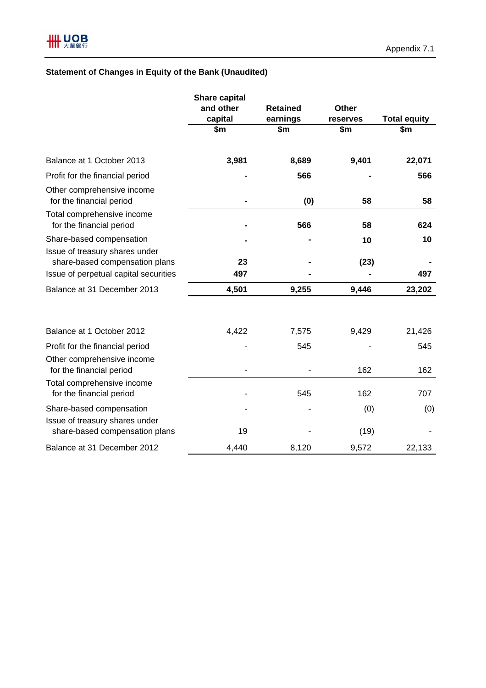# **Statement of Changes in Equity of the Bank (Unaudited)**

|                                                                  | <b>Share capital</b><br>and other | <b>Retained</b> |                 |                            |
|------------------------------------------------------------------|-----------------------------------|-----------------|-----------------|----------------------------|
|                                                                  | capital<br>\$m                    | earnings<br>\$m | reserves<br>\$m | <b>Total equity</b><br>\$m |
|                                                                  | 3,981                             | 8,689           | 9,401           |                            |
| Balance at 1 October 2013                                        |                                   |                 |                 | 22,071                     |
| Profit for the financial period                                  |                                   | 566             |                 | 566                        |
| Other comprehensive income<br>for the financial period           |                                   | (0)             | 58              | 58                         |
| Total comprehensive income<br>for the financial period           |                                   | 566             | 58              | 624                        |
| Share-based compensation                                         |                                   |                 | 10              | 10                         |
| Issue of treasury shares under<br>share-based compensation plans | 23                                |                 | (23)            |                            |
| Issue of perpetual capital securities                            | 497                               |                 |                 | 497                        |
| Balance at 31 December 2013                                      | 4,501                             | 9,255           | 9,446           | 23,202                     |
|                                                                  |                                   |                 |                 |                            |
| Balance at 1 October 2012                                        | 4,422                             | 7,575           | 9,429           | 21,426                     |
| Profit for the financial period                                  |                                   | 545             |                 | 545                        |
| Other comprehensive income<br>for the financial period           |                                   |                 | 162             | 162                        |
| Total comprehensive income<br>for the financial period           |                                   | 545             | 162             | 707                        |
| Share-based compensation<br>Issue of treasury shares under       |                                   |                 | (0)             | (0)                        |
| share-based compensation plans                                   | 19                                |                 | (19)            |                            |
| Balance at 31 December 2012                                      | 4,440                             | 8,120           | 9,572           | 22,133                     |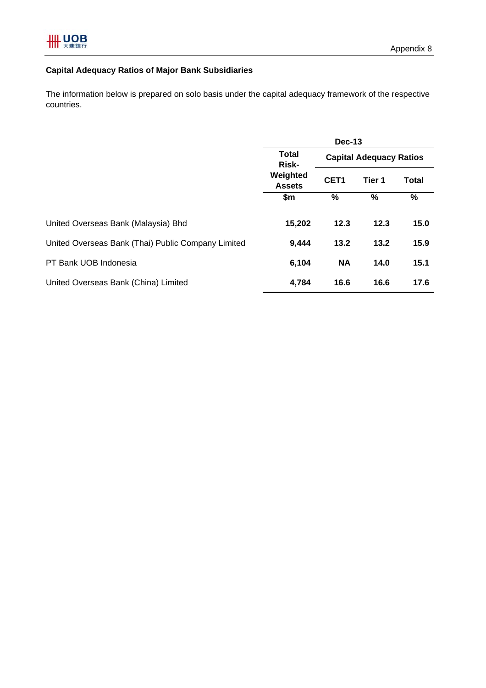# **Capital Adequacy Ratios of Major Bank Subsidiaries**

The information below is prepared on solo basis under the capital adequacy framework of the respective countries.

|                                                    | Dec-13                                             |                                |        |               |
|----------------------------------------------------|----------------------------------------------------|--------------------------------|--------|---------------|
|                                                    | <b>Total</b><br>Risk-<br>Weighted<br><b>Assets</b> | <b>Capital Adequacy Ratios</b> |        |               |
|                                                    |                                                    | CET <sub>1</sub>               | Tier 1 | <b>Total</b>  |
|                                                    | \$m                                                | %                              | $\%$   | $\frac{9}{6}$ |
| United Overseas Bank (Malaysia) Bhd                | 15,202                                             | 12.3                           | 12.3   | 15.0          |
| United Overseas Bank (Thai) Public Company Limited | 9,444                                              | 13.2                           | 13.2   | 15.9          |
| PT Bank UOB Indonesia                              | 6,104                                              | <b>NA</b>                      | 14.0   | 15.1          |
| United Overseas Bank (China) Limited               | 4,784                                              | 16.6                           | 16.6   | 17.6          |